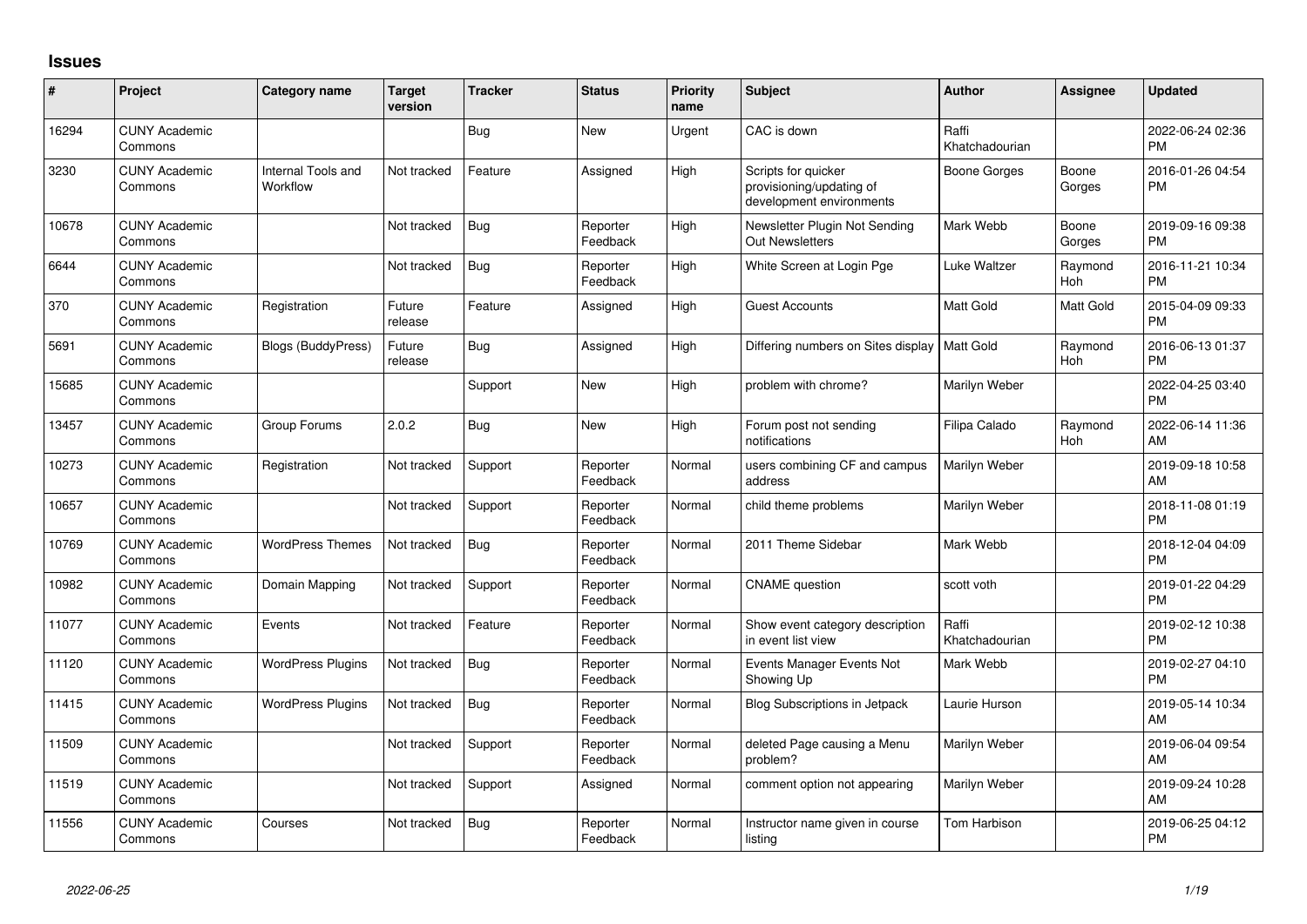## **Issues**

| #     | Project                         | <b>Category name</b>           | <b>Target</b><br>version | <b>Tracker</b> | <b>Status</b>        | <b>Priority</b><br>name | <b>Subject</b>                                                              | <b>Author</b>           | <b>Assignee</b>       | <b>Updated</b>                |
|-------|---------------------------------|--------------------------------|--------------------------|----------------|----------------------|-------------------------|-----------------------------------------------------------------------------|-------------------------|-----------------------|-------------------------------|
| 16294 | <b>CUNY Academic</b><br>Commons |                                |                          | <b>Bug</b>     | <b>New</b>           | Urgent                  | CAC is down                                                                 | Raffi<br>Khatchadourian |                       | 2022-06-24 02:36<br><b>PM</b> |
| 3230  | <b>CUNY Academic</b><br>Commons | Internal Tools and<br>Workflow | Not tracked              | Feature        | Assigned             | High                    | Scripts for quicker<br>provisioning/updating of<br>development environments | <b>Boone Gorges</b>     | Boone<br>Gorges       | 2016-01-26 04:54<br><b>PM</b> |
| 10678 | <b>CUNY Academic</b><br>Commons |                                | Not tracked              | <b>Bug</b>     | Reporter<br>Feedback | High                    | Newsletter Plugin Not Sending<br>Out Newsletters                            | Mark Webb               | Boone<br>Gorges       | 2019-09-16 09:38<br><b>PM</b> |
| 6644  | <b>CUNY Academic</b><br>Commons |                                | Not tracked              | <b>Bug</b>     | Reporter<br>Feedback | High                    | White Screen at Login Pge                                                   | Luke Waltzer            | Raymond<br>Hoh        | 2016-11-21 10:34<br><b>PM</b> |
| 370   | <b>CUNY Academic</b><br>Commons | Registration                   | Future<br>release        | Feature        | Assigned             | High                    | <b>Guest Accounts</b>                                                       | Matt Gold               | Matt Gold             | 2015-04-09 09:33<br><b>PM</b> |
| 5691  | <b>CUNY Academic</b><br>Commons | Blogs (BuddyPress)             | Future<br>release        | <b>Bug</b>     | Assigned             | High                    | Differing numbers on Sites display                                          | <b>Matt Gold</b>        | Raymond<br><b>Hoh</b> | 2016-06-13 01:37<br><b>PM</b> |
| 15685 | <b>CUNY Academic</b><br>Commons |                                |                          | Support        | New                  | High                    | problem with chrome?                                                        | Marilyn Weber           |                       | 2022-04-25 03:40<br><b>PM</b> |
| 13457 | <b>CUNY Academic</b><br>Commons | Group Forums                   | 2.0.2                    | <b>Bug</b>     | <b>New</b>           | High                    | Forum post not sending<br>notifications                                     | Filipa Calado           | Raymond<br><b>Hoh</b> | 2022-06-14 11:36<br>AM        |
| 10273 | <b>CUNY Academic</b><br>Commons | Registration                   | Not tracked              | Support        | Reporter<br>Feedback | Normal                  | users combining CF and campus<br>address                                    | Marilyn Weber           |                       | 2019-09-18 10:58<br>AM        |
| 10657 | <b>CUNY Academic</b><br>Commons |                                | Not tracked              | Support        | Reporter<br>Feedback | Normal                  | child theme problems                                                        | Marilyn Weber           |                       | 2018-11-08 01:19<br><b>PM</b> |
| 10769 | <b>CUNY Academic</b><br>Commons | <b>WordPress Themes</b>        | Not tracked              | <b>Bug</b>     | Reporter<br>Feedback | Normal                  | 2011 Theme Sidebar                                                          | Mark Webb               |                       | 2018-12-04 04:09<br><b>PM</b> |
| 10982 | <b>CUNY Academic</b><br>Commons | Domain Mapping                 | Not tracked              | Support        | Reporter<br>Feedback | Normal                  | <b>CNAME</b> question                                                       | scott voth              |                       | 2019-01-22 04:29<br><b>PM</b> |
| 11077 | <b>CUNY Academic</b><br>Commons | Events                         | Not tracked              | Feature        | Reporter<br>Feedback | Normal                  | Show event category description<br>in event list view                       | Raffi<br>Khatchadourian |                       | 2019-02-12 10:38<br><b>PM</b> |
| 11120 | <b>CUNY Academic</b><br>Commons | <b>WordPress Plugins</b>       | Not tracked              | <b>Bug</b>     | Reporter<br>Feedback | Normal                  | Events Manager Events Not<br>Showing Up                                     | Mark Webb               |                       | 2019-02-27 04:10<br><b>PM</b> |
| 11415 | <b>CUNY Academic</b><br>Commons | <b>WordPress Plugins</b>       | Not tracked              | Bug            | Reporter<br>Feedback | Normal                  | <b>Blog Subscriptions in Jetpack</b>                                        | Laurie Hurson           |                       | 2019-05-14 10:34<br>AM        |
| 11509 | <b>CUNY Academic</b><br>Commons |                                | Not tracked              | Support        | Reporter<br>Feedback | Normal                  | deleted Page causing a Menu<br>problem?                                     | Marilyn Weber           |                       | 2019-06-04 09:54<br>AM        |
| 11519 | <b>CUNY Academic</b><br>Commons |                                | Not tracked              | Support        | Assigned             | Normal                  | comment option not appearing                                                | Marilyn Weber           |                       | 2019-09-24 10:28<br>AM        |
| 11556 | <b>CUNY Academic</b><br>Commons | Courses                        | Not tracked              | Bug            | Reporter<br>Feedback | Normal                  | Instructor name given in course<br>listing                                  | Tom Harbison            |                       | 2019-06-25 04:12<br><b>PM</b> |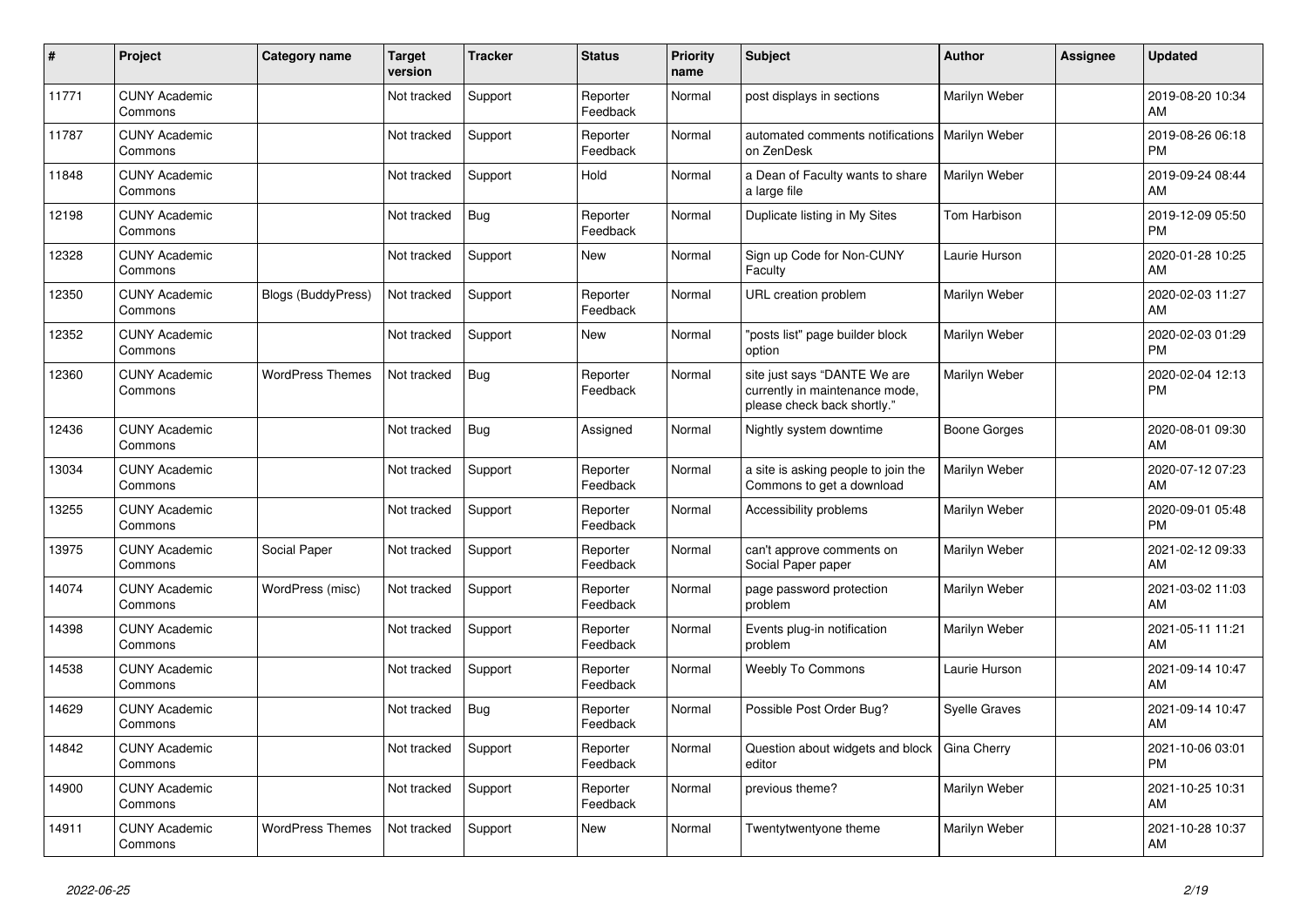| ∦     | Project                         | Category name             | <b>Target</b><br>version | <b>Tracker</b> | <b>Status</b>        | <b>Priority</b><br>name | <b>Subject</b>                                                                                | <b>Author</b> | <b>Assignee</b> | <b>Updated</b>                |
|-------|---------------------------------|---------------------------|--------------------------|----------------|----------------------|-------------------------|-----------------------------------------------------------------------------------------------|---------------|-----------------|-------------------------------|
| 11771 | <b>CUNY Academic</b><br>Commons |                           | Not tracked              | Support        | Reporter<br>Feedback | Normal                  | post displays in sections                                                                     | Marilyn Weber |                 | 2019-08-20 10:34<br>AM        |
| 11787 | <b>CUNY Academic</b><br>Commons |                           | Not tracked              | Support        | Reporter<br>Feedback | Normal                  | automated comments notifications<br>on ZenDesk                                                | Marilyn Weber |                 | 2019-08-26 06:18<br><b>PM</b> |
| 11848 | <b>CUNY Academic</b><br>Commons |                           | Not tracked              | Support        | Hold                 | Normal                  | a Dean of Faculty wants to share<br>a large file                                              | Marilyn Weber |                 | 2019-09-24 08:44<br>AM        |
| 12198 | <b>CUNY Academic</b><br>Commons |                           | Not tracked              | Bug            | Reporter<br>Feedback | Normal                  | Duplicate listing in My Sites                                                                 | Tom Harbison  |                 | 2019-12-09 05:50<br><b>PM</b> |
| 12328 | <b>CUNY Academic</b><br>Commons |                           | Not tracked              | Support        | <b>New</b>           | Normal                  | Sign up Code for Non-CUNY<br>Faculty                                                          | Laurie Hurson |                 | 2020-01-28 10:25<br>AM        |
| 12350 | <b>CUNY Academic</b><br>Commons | <b>Blogs (BuddyPress)</b> | Not tracked              | Support        | Reporter<br>Feedback | Normal                  | <b>URL</b> creation problem                                                                   | Marilyn Weber |                 | 2020-02-03 11:27<br>AM        |
| 12352 | <b>CUNY Academic</b><br>Commons |                           | Not tracked              | Support        | <b>New</b>           | Normal                  | 'posts list" page builder block<br>option                                                     | Marilyn Weber |                 | 2020-02-03 01:29<br><b>PM</b> |
| 12360 | <b>CUNY Academic</b><br>Commons | <b>WordPress Themes</b>   | Not tracked              | Bug            | Reporter<br>Feedback | Normal                  | site just says "DANTE We are<br>currently in maintenance mode,<br>please check back shortly." | Marilyn Weber |                 | 2020-02-04 12:13<br>PM        |
| 12436 | <b>CUNY Academic</b><br>Commons |                           | Not tracked              | <b>Bug</b>     | Assigned             | Normal                  | Nightly system downtime                                                                       | Boone Gorges  |                 | 2020-08-01 09:30<br>AM        |
| 13034 | <b>CUNY Academic</b><br>Commons |                           | Not tracked              | Support        | Reporter<br>Feedback | Normal                  | a site is asking people to join the<br>Commons to get a download                              | Marilyn Weber |                 | 2020-07-12 07:23<br>AM        |
| 13255 | <b>CUNY Academic</b><br>Commons |                           | Not tracked              | Support        | Reporter<br>Feedback | Normal                  | Accessibility problems                                                                        | Marilyn Weber |                 | 2020-09-01 05:48<br><b>PM</b> |
| 13975 | <b>CUNY Academic</b><br>Commons | Social Paper              | Not tracked              | Support        | Reporter<br>Feedback | Normal                  | can't approve comments on<br>Social Paper paper                                               | Marilyn Weber |                 | 2021-02-12 09:33<br>AM        |
| 14074 | <b>CUNY Academic</b><br>Commons | WordPress (misc)          | Not tracked              | Support        | Reporter<br>Feedback | Normal                  | page password protection<br>problem                                                           | Marilyn Weber |                 | 2021-03-02 11:03<br>AM        |
| 14398 | <b>CUNY Academic</b><br>Commons |                           | Not tracked              | Support        | Reporter<br>Feedback | Normal                  | Events plug-in notification<br>problem                                                        | Marilyn Weber |                 | 2021-05-11 11:21<br>AM        |
| 14538 | <b>CUNY Academic</b><br>Commons |                           | Not tracked              | Support        | Reporter<br>Feedback | Normal                  | <b>Weebly To Commons</b>                                                                      | Laurie Hurson |                 | 2021-09-14 10:47<br>AM        |
| 14629 | <b>CUNY Academic</b><br>Commons |                           | Not tracked              | <b>Bug</b>     | Reporter<br>Feedback | Normal                  | Possible Post Order Bug?                                                                      | Syelle Graves |                 | 2021-09-14 10:47<br>AM        |
| 14842 | <b>CUNY Academic</b><br>Commons |                           | Not tracked              | Support        | Reporter<br>Feedback | Normal                  | Question about widgets and block<br>editor                                                    | Gina Cherry   |                 | 2021-10-06 03:01<br><b>PM</b> |
| 14900 | <b>CUNY Academic</b><br>Commons |                           | Not tracked              | Support        | Reporter<br>Feedback | Normal                  | previous theme?                                                                               | Marilyn Weber |                 | 2021-10-25 10:31<br>AM        |
| 14911 | <b>CUNY Academic</b><br>Commons | <b>WordPress Themes</b>   | Not tracked              | Support        | <b>New</b>           | Normal                  | Twentytwentyone theme                                                                         | Marilyn Weber |                 | 2021-10-28 10:37<br>AM        |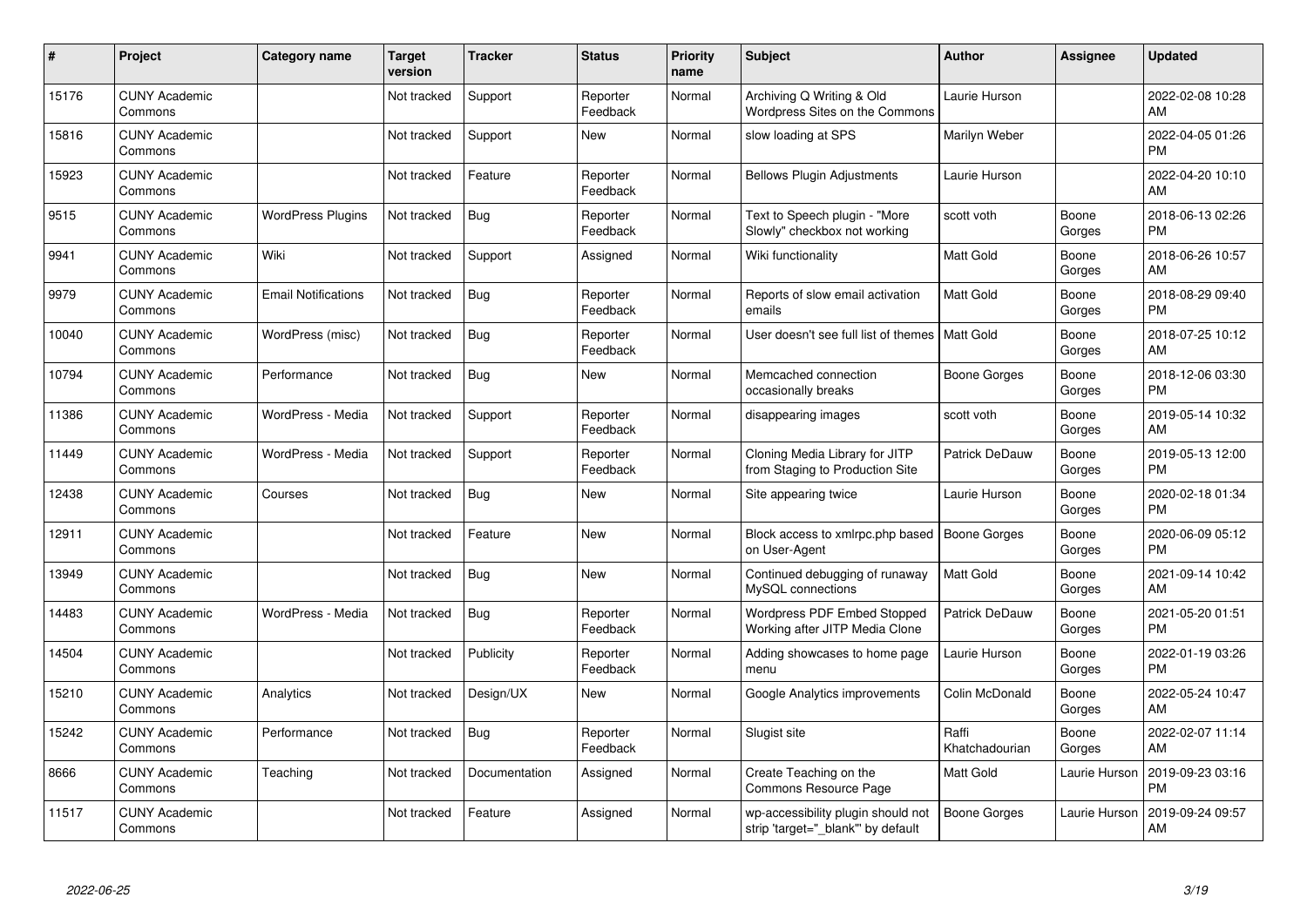| #     | Project                         | <b>Category name</b>       | Target<br>version | <b>Tracker</b> | <b>Status</b>        | <b>Priority</b><br>name | <b>Subject</b>                                                          | <b>Author</b>           | <b>Assignee</b> | <b>Updated</b>                |
|-------|---------------------------------|----------------------------|-------------------|----------------|----------------------|-------------------------|-------------------------------------------------------------------------|-------------------------|-----------------|-------------------------------|
| 15176 | <b>CUNY Academic</b><br>Commons |                            | Not tracked       | Support        | Reporter<br>Feedback | Normal                  | Archiving Q Writing & Old<br>Wordpress Sites on the Commons             | Laurie Hurson           |                 | 2022-02-08 10:28<br>AM        |
| 15816 | <b>CUNY Academic</b><br>Commons |                            | Not tracked       | Support        | New                  | Normal                  | slow loading at SPS                                                     | Marilyn Weber           |                 | 2022-04-05 01:26<br><b>PM</b> |
| 15923 | <b>CUNY Academic</b><br>Commons |                            | Not tracked       | Feature        | Reporter<br>Feedback | Normal                  | <b>Bellows Plugin Adjustments</b>                                       | Laurie Hurson           |                 | 2022-04-20 10:10<br>AM        |
| 9515  | <b>CUNY Academic</b><br>Commons | <b>WordPress Plugins</b>   | Not tracked       | Bug            | Reporter<br>Feedback | Normal                  | Text to Speech plugin - "More<br>Slowly" checkbox not working           | scott voth              | Boone<br>Gorges | 2018-06-13 02:26<br><b>PM</b> |
| 9941  | <b>CUNY Academic</b><br>Commons | Wiki                       | Not tracked       | Support        | Assigned             | Normal                  | Wiki functionality                                                      | <b>Matt Gold</b>        | Boone<br>Gorges | 2018-06-26 10:57<br>AM        |
| 9979  | <b>CUNY Academic</b><br>Commons | <b>Email Notifications</b> | Not tracked       | Bug            | Reporter<br>Feedback | Normal                  | Reports of slow email activation<br>emails                              | <b>Matt Gold</b>        | Boone<br>Gorges | 2018-08-29 09:40<br><b>PM</b> |
| 10040 | <b>CUNY Academic</b><br>Commons | WordPress (misc)           | Not tracked       | <b>Bug</b>     | Reporter<br>Feedback | Normal                  | User doesn't see full list of themes   Matt Gold                        |                         | Boone<br>Gorges | 2018-07-25 10:12<br>AM        |
| 10794 | <b>CUNY Academic</b><br>Commons | Performance                | Not tracked       | <b>Bug</b>     | <b>New</b>           | Normal                  | Memcached connection<br>occasionally breaks                             | Boone Gorges            | Boone<br>Gorges | 2018-12-06 03:30<br><b>PM</b> |
| 11386 | <b>CUNY Academic</b><br>Commons | WordPress - Media          | Not tracked       | Support        | Reporter<br>Feedback | Normal                  | disappearing images                                                     | scott voth              | Boone<br>Gorges | 2019-05-14 10:32<br>AM        |
| 11449 | <b>CUNY Academic</b><br>Commons | WordPress - Media          | Not tracked       | Support        | Reporter<br>Feedback | Normal                  | Cloning Media Library for JITP<br>from Staging to Production Site       | Patrick DeDauw          | Boone<br>Gorges | 2019-05-13 12:00<br><b>PM</b> |
| 12438 | <b>CUNY Academic</b><br>Commons | Courses                    | Not tracked       | <b>Bug</b>     | New                  | Normal                  | Site appearing twice                                                    | Laurie Hurson           | Boone<br>Gorges | 2020-02-18 01:34<br><b>PM</b> |
| 12911 | <b>CUNY Academic</b><br>Commons |                            | Not tracked       | Feature        | New                  | Normal                  | Block access to xmlrpc.php based<br>on User-Agent                       | <b>Boone Gorges</b>     | Boone<br>Gorges | 2020-06-09 05:12<br><b>PM</b> |
| 13949 | <b>CUNY Academic</b><br>Commons |                            | Not tracked       | <b>Bug</b>     | <b>New</b>           | Normal                  | Continued debugging of runaway<br>MySQL connections                     | <b>Matt Gold</b>        | Boone<br>Gorges | 2021-09-14 10:42<br>AM        |
| 14483 | <b>CUNY Academic</b><br>Commons | WordPress - Media          | Not tracked       | Bug            | Reporter<br>Feedback | Normal                  | Wordpress PDF Embed Stopped<br>Working after JITP Media Clone           | Patrick DeDauw          | Boone<br>Gorges | 2021-05-20 01:51<br><b>PM</b> |
| 14504 | <b>CUNY Academic</b><br>Commons |                            | Not tracked       | Publicity      | Reporter<br>Feedback | Normal                  | Adding showcases to home page<br>menu                                   | Laurie Hurson           | Boone<br>Gorges | 2022-01-19 03:26<br><b>PM</b> |
| 15210 | <b>CUNY Academic</b><br>Commons | Analytics                  | Not tracked       | Design/UX      | <b>New</b>           | Normal                  | Google Analytics improvements                                           | Colin McDonald          | Boone<br>Gorges | 2022-05-24 10:47<br>AM        |
| 15242 | <b>CUNY Academic</b><br>Commons | Performance                | Not tracked       | Bug            | Reporter<br>Feedback | Normal                  | Slugist site                                                            | Raffi<br>Khatchadourian | Boone<br>Gorges | 2022-02-07 11:14<br>AM        |
| 8666  | <b>CUNY Academic</b><br>Commons | Teaching                   | Not tracked       | Documentation  | Assigned             | Normal                  | Create Teaching on the<br>Commons Resource Page                         | Matt Gold               | Laurie Hurson   | 2019-09-23 03:16<br><b>PM</b> |
| 11517 | <b>CUNY Academic</b><br>Commons |                            | Not tracked       | Feature        | Assigned             | Normal                  | wp-accessibility plugin should not<br>strip 'target=" blank" by default | Boone Gorges            | Laurie Hurson   | 2019-09-24 09:57<br>AM        |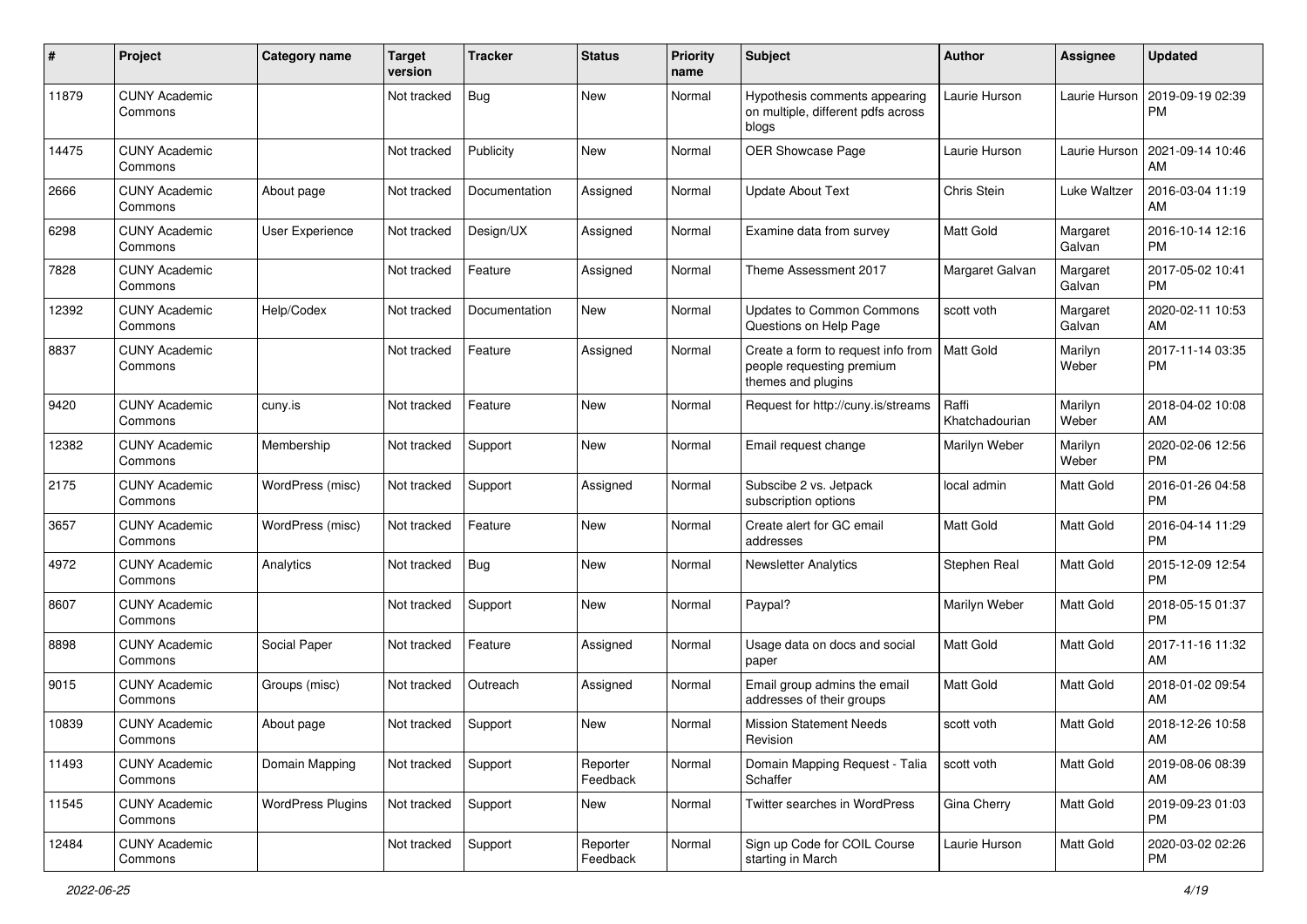| #     | Project                         | <b>Category name</b>     | <b>Target</b><br>version | <b>Tracker</b> | <b>Status</b>        | <b>Priority</b><br>name | <b>Subject</b>                                                                        | <b>Author</b>           | Assignee           | <b>Updated</b>                |
|-------|---------------------------------|--------------------------|--------------------------|----------------|----------------------|-------------------------|---------------------------------------------------------------------------------------|-------------------------|--------------------|-------------------------------|
| 11879 | <b>CUNY Academic</b><br>Commons |                          | Not tracked              | <b>Bug</b>     | New                  | Normal                  | Hypothesis comments appearing<br>on multiple, different pdfs across<br>blogs          | Laurie Hurson           | Laurie Hurson      | 2019-09-19 02:39<br>PM        |
| 14475 | <b>CUNY Academic</b><br>Commons |                          | Not tracked              | Publicity      | <b>New</b>           | Normal                  | OER Showcase Page                                                                     | Laurie Hurson           | Laurie Hurson      | 2021-09-14 10:46<br>AM        |
| 2666  | <b>CUNY Academic</b><br>Commons | About page               | Not tracked              | Documentation  | Assigned             | Normal                  | <b>Update About Text</b>                                                              | Chris Stein             | Luke Waltzer       | 2016-03-04 11:19<br>AM        |
| 6298  | <b>CUNY Academic</b><br>Commons | User Experience          | Not tracked              | Design/UX      | Assigned             | Normal                  | Examine data from survey                                                              | Matt Gold               | Margaret<br>Galvan | 2016-10-14 12:16<br><b>PM</b> |
| 7828  | <b>CUNY Academic</b><br>Commons |                          | Not tracked              | Feature        | Assigned             | Normal                  | Theme Assessment 2017                                                                 | Margaret Galvan         | Margaret<br>Galvan | 2017-05-02 10:41<br><b>PM</b> |
| 12392 | <b>CUNY Academic</b><br>Commons | Help/Codex               | Not tracked              | Documentation  | New                  | Normal                  | <b>Updates to Common Commons</b><br>Questions on Help Page                            | scott voth              | Margaret<br>Galvan | 2020-02-11 10:53<br>AM        |
| 8837  | <b>CUNY Academic</b><br>Commons |                          | Not tracked              | Feature        | Assigned             | Normal                  | Create a form to request info from<br>people requesting premium<br>themes and plugins | <b>Matt Gold</b>        | Marilyn<br>Weber   | 2017-11-14 03:35<br><b>PM</b> |
| 9420  | <b>CUNY Academic</b><br>Commons | cuny.is                  | Not tracked              | Feature        | New                  | Normal                  | Request for http://cuny.is/streams                                                    | Raffi<br>Khatchadourian | Marilyn<br>Weber   | 2018-04-02 10:08<br>AM        |
| 12382 | <b>CUNY Academic</b><br>Commons | Membership               | Not tracked              | Support        | <b>New</b>           | Normal                  | Email request change                                                                  | Marilyn Weber           | Marilyn<br>Weber   | 2020-02-06 12:56<br><b>PM</b> |
| 2175  | <b>CUNY Academic</b><br>Commons | WordPress (misc)         | Not tracked              | Support        | Assigned             | Normal                  | Subscibe 2 vs. Jetpack<br>subscription options                                        | local admin             | Matt Gold          | 2016-01-26 04:58<br><b>PM</b> |
| 3657  | <b>CUNY Academic</b><br>Commons | WordPress (misc)         | Not tracked              | Feature        | New                  | Normal                  | Create alert for GC email<br>addresses                                                | Matt Gold               | Matt Gold          | 2016-04-14 11:29<br><b>PM</b> |
| 4972  | <b>CUNY Academic</b><br>Commons | Analytics                | Not tracked              | <b>Bug</b>     | New                  | Normal                  | <b>Newsletter Analytics</b>                                                           | Stephen Real            | Matt Gold          | 2015-12-09 12:54<br><b>PM</b> |
| 8607  | <b>CUNY Academic</b><br>Commons |                          | Not tracked              | Support        | <b>New</b>           | Normal                  | Paypal?                                                                               | Marilyn Weber           | Matt Gold          | 2018-05-15 01:37<br><b>PM</b> |
| 8898  | <b>CUNY Academic</b><br>Commons | Social Paper             | Not tracked              | Feature        | Assigned             | Normal                  | Usage data on docs and social<br>paper                                                | <b>Matt Gold</b>        | Matt Gold          | 2017-11-16 11:32<br>AM        |
| 9015  | <b>CUNY Academic</b><br>Commons | Groups (misc)            | Not tracked              | Outreach       | Assigned             | Normal                  | Email group admins the email<br>addresses of their groups                             | Matt Gold               | Matt Gold          | 2018-01-02 09:54<br>AM        |
| 10839 | <b>CUNY Academic</b><br>Commons | About page               | Not tracked              | Support        | New                  | Normal                  | <b>Mission Statement Needs</b><br>Revision                                            | scott voth              | Matt Gold          | 2018-12-26 10:58<br>AM        |
| 11493 | <b>CUNY Academic</b><br>Commons | Domain Mapping           | Not tracked              | Support        | Reporter<br>Feedback | Normal                  | Domain Mapping Request - Talia<br>Schaffer                                            | scott voth              | Matt Gold          | 2019-08-06 08:39<br>AM        |
| 11545 | <b>CUNY Academic</b><br>Commons | <b>WordPress Plugins</b> | Not tracked              | Support        | New                  | Normal                  | Twitter searches in WordPress                                                         | Gina Cherry             | Matt Gold          | 2019-09-23 01:03<br>PM        |
| 12484 | <b>CUNY Academic</b><br>Commons |                          | Not tracked              | Support        | Reporter<br>Feedback | Normal                  | Sign up Code for COIL Course<br>starting in March                                     | Laurie Hurson           | Matt Gold          | 2020-03-02 02:26<br>PM        |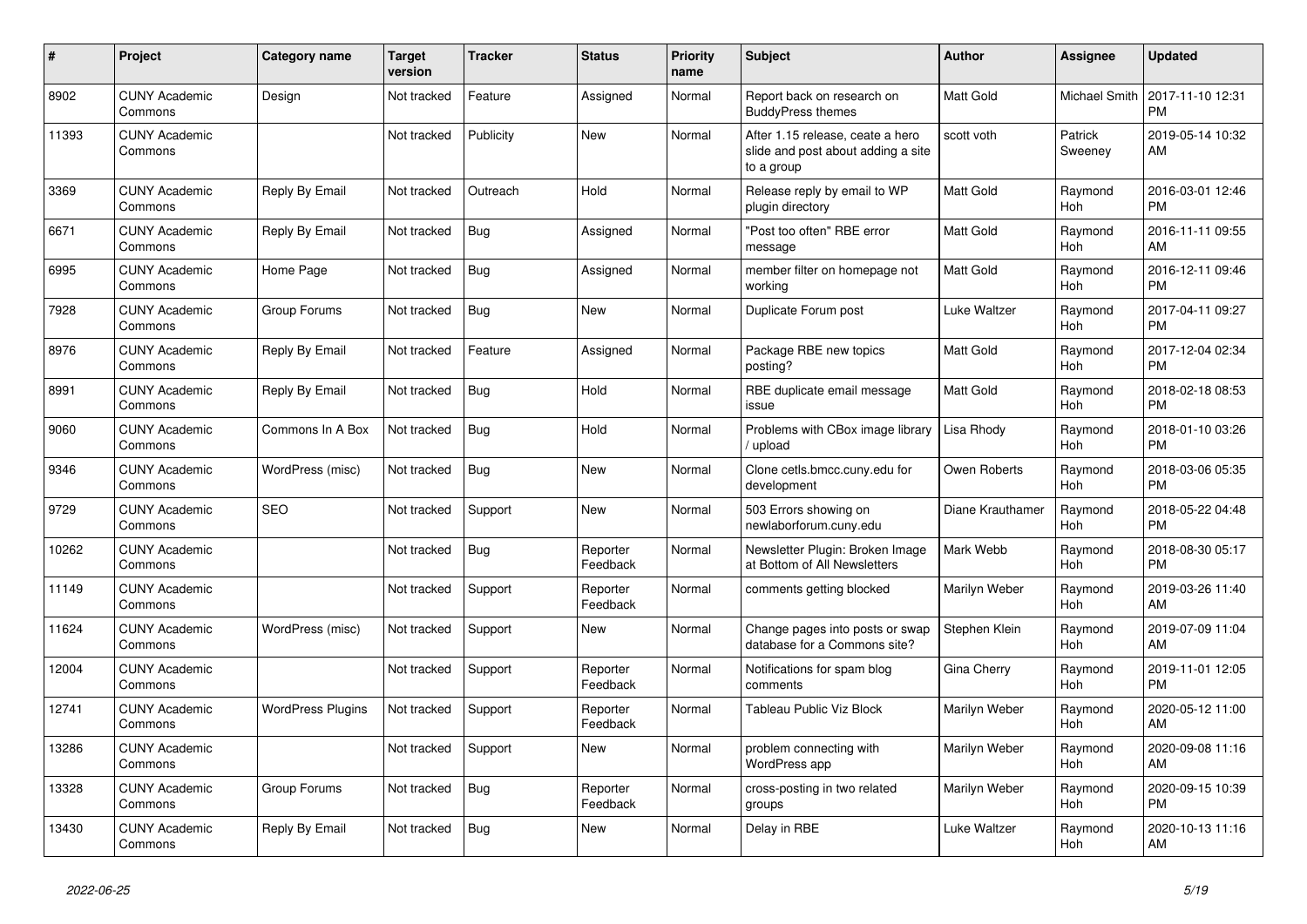| #     | Project                         | <b>Category name</b>     | <b>Target</b><br>version | <b>Tracker</b> | <b>Status</b>        | <b>Priority</b><br>name | <b>Subject</b>                                                                       | <b>Author</b>    | <b>Assignee</b>       | <b>Updated</b>                |
|-------|---------------------------------|--------------------------|--------------------------|----------------|----------------------|-------------------------|--------------------------------------------------------------------------------------|------------------|-----------------------|-------------------------------|
| 8902  | <b>CUNY Academic</b><br>Commons | Design                   | Not tracked              | Feature        | Assigned             | Normal                  | Report back on research on<br><b>BuddyPress themes</b>                               | Matt Gold        | <b>Michael Smith</b>  | 2017-11-10 12:31<br><b>PM</b> |
| 11393 | <b>CUNY Academic</b><br>Commons |                          | Not tracked              | Publicity      | New                  | Normal                  | After 1.15 release, ceate a hero<br>slide and post about adding a site<br>to a group | scott voth       | Patrick<br>Sweeney    | 2019-05-14 10:32<br>AM        |
| 3369  | <b>CUNY Academic</b><br>Commons | Reply By Email           | Not tracked              | Outreach       | Hold                 | Normal                  | Release reply by email to WP<br>plugin directory                                     | Matt Gold        | Raymond<br>Hoh        | 2016-03-01 12:46<br><b>PM</b> |
| 6671  | <b>CUNY Academic</b><br>Commons | Reply By Email           | Not tracked              | <b>Bug</b>     | Assigned             | Normal                  | "Post too often" RBE error<br>message                                                | Matt Gold        | Raymond<br><b>Hoh</b> | 2016-11-11 09:55<br>AM        |
| 6995  | <b>CUNY Academic</b><br>Commons | Home Page                | Not tracked              | <b>Bug</b>     | Assigned             | Normal                  | member filter on homepage not<br>workina                                             | Matt Gold        | Raymond<br>Hoh        | 2016-12-11 09:46<br><b>PM</b> |
| 7928  | <b>CUNY Academic</b><br>Commons | Group Forums             | Not tracked              | Bug            | <b>New</b>           | Normal                  | Duplicate Forum post                                                                 | Luke Waltzer     | Raymond<br>Hoh        | 2017-04-11 09:27<br><b>PM</b> |
| 8976  | <b>CUNY Academic</b><br>Commons | Reply By Email           | Not tracked              | Feature        | Assigned             | Normal                  | Package RBE new topics<br>posting?                                                   | Matt Gold        | Raymond<br>Hoh        | 2017-12-04 02:34<br><b>PM</b> |
| 8991  | <b>CUNY Academic</b><br>Commons | Reply By Email           | Not tracked              | <b>Bug</b>     | Hold                 | Normal                  | RBE duplicate email message<br>issue                                                 | Matt Gold        | Raymond<br><b>Hoh</b> | 2018-02-18 08:53<br><b>PM</b> |
| 9060  | <b>CUNY Academic</b><br>Commons | Commons In A Box         | Not tracked              | <b>Bug</b>     | Hold                 | Normal                  | Problems with CBox image library<br>upload                                           | Lisa Rhody       | Raymond<br><b>Hoh</b> | 2018-01-10 03:26<br><b>PM</b> |
| 9346  | <b>CUNY Academic</b><br>Commons | WordPress (misc)         | Not tracked              | Bug            | <b>New</b>           | Normal                  | Clone cetls.bmcc.cuny.edu for<br>development                                         | Owen Roberts     | Raymond<br>Hoh        | 2018-03-06 05:35<br><b>PM</b> |
| 9729  | <b>CUNY Academic</b><br>Commons | <b>SEO</b>               | Not tracked              | Support        | New                  | Normal                  | 503 Errors showing on<br>newlaborforum.cuny.edu                                      | Diane Krauthamer | Raymond<br><b>Hoh</b> | 2018-05-22 04:48<br><b>PM</b> |
| 10262 | <b>CUNY Academic</b><br>Commons |                          | Not tracked              | <b>Bug</b>     | Reporter<br>Feedback | Normal                  | Newsletter Plugin: Broken Image<br>at Bottom of All Newsletters                      | Mark Webb        | Raymond<br>Hoh        | 2018-08-30 05:17<br><b>PM</b> |
| 11149 | <b>CUNY Academic</b><br>Commons |                          | Not tracked              | Support        | Reporter<br>Feedback | Normal                  | comments getting blocked                                                             | Marilyn Weber    | Raymond<br>Hoh        | 2019-03-26 11:40<br>AM        |
| 11624 | <b>CUNY Academic</b><br>Commons | WordPress (misc)         | Not tracked              | Support        | <b>New</b>           | Normal                  | Change pages into posts or swap<br>database for a Commons site?                      | Stephen Klein    | Raymond<br>Hoh        | 2019-07-09 11:04<br>AM        |
| 12004 | <b>CUNY Academic</b><br>Commons |                          | Not tracked              | Support        | Reporter<br>Feedback | Normal                  | Notifications for spam blog<br>comments                                              | Gina Cherry      | Raymond<br><b>Hoh</b> | 2019-11-01 12:05<br><b>PM</b> |
| 12741 | <b>CUNY Academic</b><br>Commons | <b>WordPress Plugins</b> | Not tracked              | Support        | Reporter<br>Feedback | Normal                  | Tableau Public Viz Block                                                             | Marilyn Weber    | Raymond<br>Hoh        | 2020-05-12 11:00<br>AM        |
| 13286 | <b>CUNY Academic</b><br>Commons |                          | Not tracked              | Support        | <b>New</b>           | Normal                  | problem connecting with<br>WordPress app                                             | Marilyn Weber    | Raymond<br>Hoh        | 2020-09-08 11:16<br>AM        |
| 13328 | <b>CUNY Academic</b><br>Commons | Group Forums             | Not tracked              | <b>Bug</b>     | Reporter<br>Feedback | Normal                  | cross-posting in two related<br>groups                                               | Marilyn Weber    | Raymond<br>Hoh        | 2020-09-15 10:39<br><b>PM</b> |
| 13430 | <b>CUNY Academic</b><br>Commons | Reply By Email           | Not tracked              | <b>Bug</b>     | <b>New</b>           | Normal                  | Delay in RBE                                                                         | Luke Waltzer     | Raymond<br>Hoh        | 2020-10-13 11:16<br>AM        |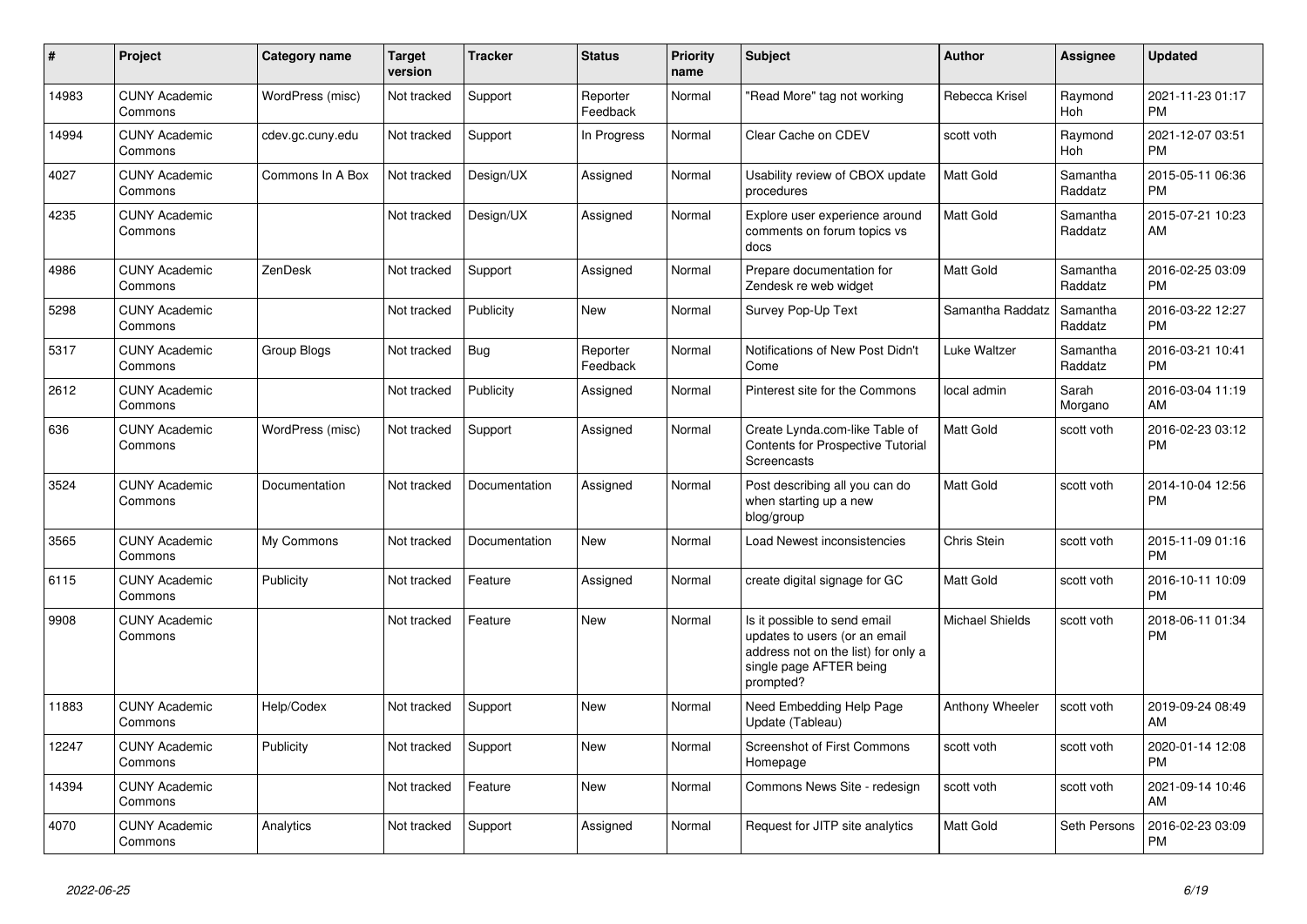| #     | <b>Project</b>                  | <b>Category name</b> | <b>Target</b><br>version | <b>Tracker</b> | <b>Status</b>        | <b>Priority</b><br>name | <b>Subject</b>                                                                                                                               | Author                 | <b>Assignee</b>     | <b>Updated</b>                |
|-------|---------------------------------|----------------------|--------------------------|----------------|----------------------|-------------------------|----------------------------------------------------------------------------------------------------------------------------------------------|------------------------|---------------------|-------------------------------|
| 14983 | <b>CUNY Academic</b><br>Commons | WordPress (misc)     | Not tracked              | Support        | Reporter<br>Feedback | Normal                  | "Read More" tag not working                                                                                                                  | Rebecca Krisel         | Raymond<br>Hoh      | 2021-11-23 01:17<br><b>PM</b> |
| 14994 | <b>CUNY Academic</b><br>Commons | cdev.gc.cuny.edu     | Not tracked              | Support        | In Progress          | Normal                  | Clear Cache on CDEV                                                                                                                          | scott voth             | Raymond<br>Hoh      | 2021-12-07 03:51<br><b>PM</b> |
| 4027  | <b>CUNY Academic</b><br>Commons | Commons In A Box     | Not tracked              | Design/UX      | Assigned             | Normal                  | Usability review of CBOX update<br>procedures                                                                                                | Matt Gold              | Samantha<br>Raddatz | 2015-05-11 06:36<br><b>PM</b> |
| 4235  | <b>CUNY Academic</b><br>Commons |                      | Not tracked              | Design/UX      | Assigned             | Normal                  | Explore user experience around<br>comments on forum topics vs<br>docs                                                                        | Matt Gold              | Samantha<br>Raddatz | 2015-07-21 10:23<br>AM        |
| 4986  | <b>CUNY Academic</b><br>Commons | ZenDesk              | Not tracked              | Support        | Assigned             | Normal                  | Prepare documentation for<br>Zendesk re web widget                                                                                           | Matt Gold              | Samantha<br>Raddatz | 2016-02-25 03:09<br><b>PM</b> |
| 5298  | <b>CUNY Academic</b><br>Commons |                      | Not tracked              | Publicity      | New                  | Normal                  | Survey Pop-Up Text                                                                                                                           | Samantha Raddatz       | Samantha<br>Raddatz | 2016-03-22 12:27<br><b>PM</b> |
| 5317  | <b>CUNY Academic</b><br>Commons | Group Blogs          | Not tracked              | Bug            | Reporter<br>Feedback | Normal                  | Notifications of New Post Didn't<br>Come                                                                                                     | Luke Waltzer           | Samantha<br>Raddatz | 2016-03-21 10:41<br><b>PM</b> |
| 2612  | <b>CUNY Academic</b><br>Commons |                      | Not tracked              | Publicity      | Assigned             | Normal                  | Pinterest site for the Commons                                                                                                               | local admin            | Sarah<br>Morgano    | 2016-03-04 11:19<br>AM        |
| 636   | <b>CUNY Academic</b><br>Commons | WordPress (misc)     | Not tracked              | Support        | Assigned             | Normal                  | Create Lynda.com-like Table of<br><b>Contents for Prospective Tutorial</b><br><b>Screencasts</b>                                             | Matt Gold              | scott voth          | 2016-02-23 03:12<br><b>PM</b> |
| 3524  | <b>CUNY Academic</b><br>Commons | Documentation        | Not tracked              | Documentation  | Assigned             | Normal                  | Post describing all you can do<br>when starting up a new<br>blog/group                                                                       | Matt Gold              | scott voth          | 2014-10-04 12:56<br><b>PM</b> |
| 3565  | <b>CUNY Academic</b><br>Commons | My Commons           | Not tracked              | Documentation  | <b>New</b>           | Normal                  | Load Newest inconsistencies                                                                                                                  | Chris Stein            | scott voth          | 2015-11-09 01:16<br><b>PM</b> |
| 6115  | <b>CUNY Academic</b><br>Commons | Publicity            | Not tracked              | Feature        | Assigned             | Normal                  | create digital signage for GC                                                                                                                | Matt Gold              | scott voth          | 2016-10-11 10:09<br><b>PM</b> |
| 9908  | <b>CUNY Academic</b><br>Commons |                      | Not tracked              | Feature        | New                  | Normal                  | Is it possible to send email<br>updates to users (or an email<br>address not on the list) for only a<br>single page AFTER being<br>prompted? | <b>Michael Shields</b> | scott voth          | 2018-06-11 01:34<br><b>PM</b> |
| 11883 | <b>CUNY Academic</b><br>Commons | Help/Codex           | Not tracked              | Support        | <b>New</b>           | Normal                  | Need Embedding Help Page<br>Update (Tableau)                                                                                                 | Anthony Wheeler        | scott voth          | 2019-09-24 08:49<br>AM        |
| 12247 | <b>CUNY Academic</b><br>Commons | Publicity            | Not tracked              | Support        | <b>New</b>           | Normal                  | Screenshot of First Commons<br>Homepage                                                                                                      | scott voth             | scott voth          | 2020-01-14 12:08<br><b>PM</b> |
| 14394 | <b>CUNY Academic</b><br>Commons |                      | Not tracked              | Feature        | <b>New</b>           | Normal                  | Commons News Site - redesign                                                                                                                 | scott voth             | scott voth          | 2021-09-14 10:46<br>AM        |
| 4070  | <b>CUNY Academic</b><br>Commons | Analytics            | Not tracked              | Support        | Assigned             | Normal                  | Request for JITP site analytics                                                                                                              | Matt Gold              | Seth Persons        | 2016-02-23 03:09<br><b>PM</b> |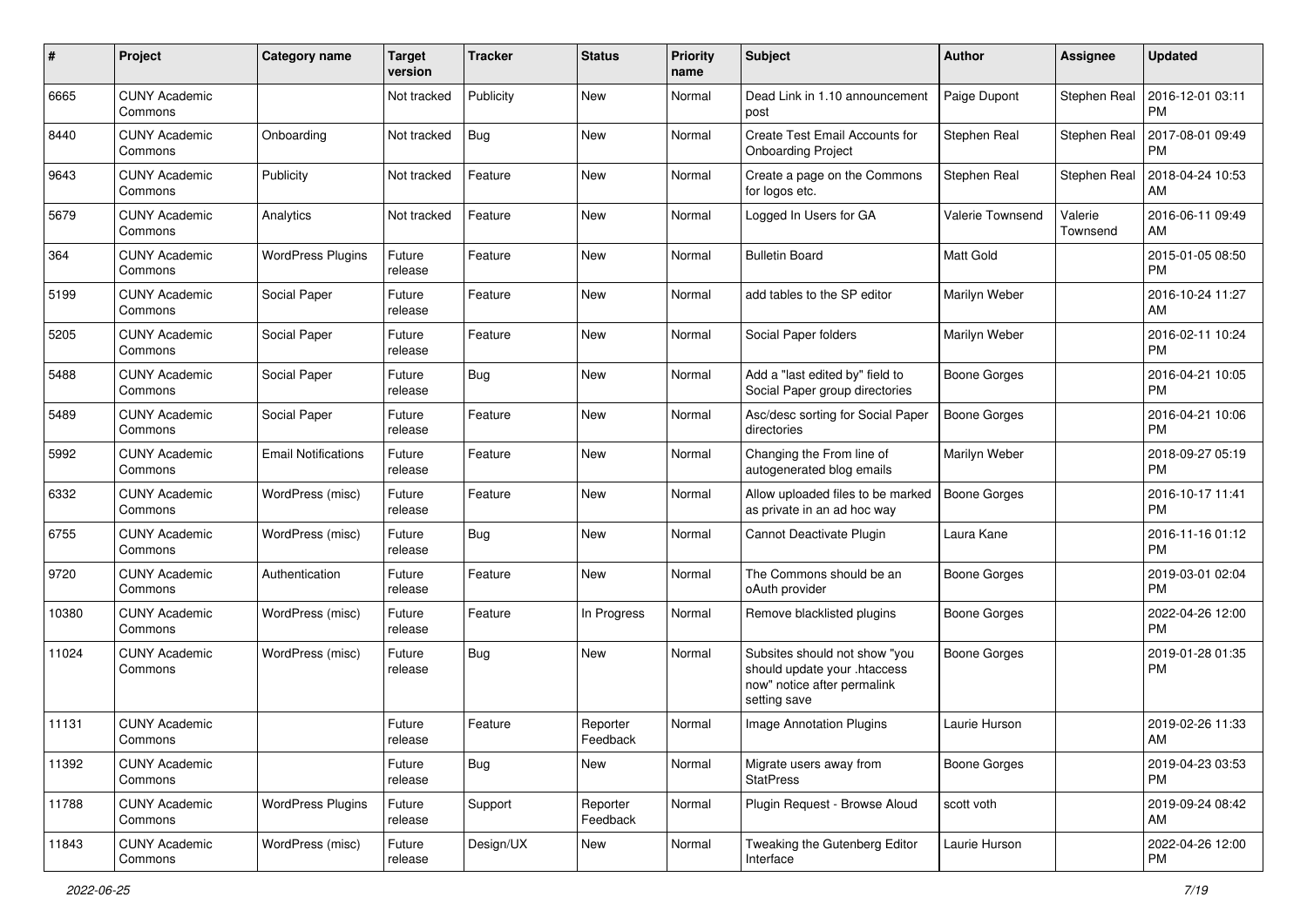| #     | Project                         | <b>Category name</b>       | <b>Target</b><br>version | <b>Tracker</b> | <b>Status</b>        | <b>Priority</b><br>name | Subject                                                                                                      | Author              | <b>Assignee</b>     | <b>Updated</b>                |
|-------|---------------------------------|----------------------------|--------------------------|----------------|----------------------|-------------------------|--------------------------------------------------------------------------------------------------------------|---------------------|---------------------|-------------------------------|
| 6665  | <b>CUNY Academic</b><br>Commons |                            | Not tracked              | Publicity      | New                  | Normal                  | Dead Link in 1.10 announcement<br>post                                                                       | Paige Dupont        | Stephen Real        | 2016-12-01 03:11<br>PM        |
| 8440  | <b>CUNY Academic</b><br>Commons | Onboarding                 | Not tracked              | <b>Bug</b>     | New                  | Normal                  | Create Test Email Accounts for<br><b>Onboarding Project</b>                                                  | Stephen Real        | Stephen Real        | 2017-08-01 09:49<br><b>PM</b> |
| 9643  | <b>CUNY Academic</b><br>Commons | Publicity                  | Not tracked              | Feature        | New                  | Normal                  | Create a page on the Commons<br>for logos etc.                                                               | Stephen Real        | Stephen Real        | 2018-04-24 10:53<br>AM        |
| 5679  | <b>CUNY Academic</b><br>Commons | Analytics                  | Not tracked              | Feature        | New                  | Normal                  | Logged In Users for GA                                                                                       | Valerie Townsend    | Valerie<br>Townsend | 2016-06-11 09:49<br>AM        |
| 364   | <b>CUNY Academic</b><br>Commons | <b>WordPress Plugins</b>   | Future<br>release        | Feature        | New                  | Normal                  | <b>Bulletin Board</b>                                                                                        | <b>Matt Gold</b>    |                     | 2015-01-05 08:50<br><b>PM</b> |
| 5199  | <b>CUNY Academic</b><br>Commons | Social Paper               | Future<br>release        | Feature        | New                  | Normal                  | add tables to the SP editor                                                                                  | Marilyn Weber       |                     | 2016-10-24 11:27<br>AM        |
| 5205  | <b>CUNY Academic</b><br>Commons | Social Paper               | Future<br>release        | Feature        | New                  | Normal                  | Social Paper folders                                                                                         | Marilyn Weber       |                     | 2016-02-11 10:24<br><b>PM</b> |
| 5488  | <b>CUNY Academic</b><br>Commons | Social Paper               | Future<br>release        | Bug            | New                  | Normal                  | Add a "last edited by" field to<br>Social Paper group directories                                            | <b>Boone Gorges</b> |                     | 2016-04-21 10:05<br>PM        |
| 5489  | <b>CUNY Academic</b><br>Commons | Social Paper               | Future<br>release        | Feature        | New                  | Normal                  | Asc/desc sorting for Social Paper<br>directories                                                             | <b>Boone Gorges</b> |                     | 2016-04-21 10:06<br><b>PM</b> |
| 5992  | <b>CUNY Academic</b><br>Commons | <b>Email Notifications</b> | Future<br>release        | Feature        | New                  | Normal                  | Changing the From line of<br>autogenerated blog emails                                                       | Marilyn Weber       |                     | 2018-09-27 05:19<br><b>PM</b> |
| 6332  | <b>CUNY Academic</b><br>Commons | WordPress (misc)           | Future<br>release        | Feature        | New                  | Normal                  | Allow uploaded files to be marked<br>as private in an ad hoc way                                             | <b>Boone Gorges</b> |                     | 2016-10-17 11:41<br><b>PM</b> |
| 6755  | <b>CUNY Academic</b><br>Commons | WordPress (misc)           | Future<br>release        | Bug            | New                  | Normal                  | Cannot Deactivate Plugin                                                                                     | Laura Kane          |                     | 2016-11-16 01:12<br><b>PM</b> |
| 9720  | <b>CUNY Academic</b><br>Commons | Authentication             | Future<br>release        | Feature        | New                  | Normal                  | The Commons should be an<br>oAuth provider                                                                   | <b>Boone Gorges</b> |                     | 2019-03-01 02:04<br><b>PM</b> |
| 10380 | <b>CUNY Academic</b><br>Commons | WordPress (misc)           | Future<br>release        | Feature        | In Progress          | Normal                  | Remove blacklisted plugins                                                                                   | <b>Boone Gorges</b> |                     | 2022-04-26 12:00<br><b>PM</b> |
| 11024 | <b>CUNY Academic</b><br>Commons | WordPress (misc)           | Future<br>release        | Bug            | <b>New</b>           | Normal                  | Subsites should not show "you<br>should update your .htaccess<br>now" notice after permalink<br>setting save | <b>Boone Gorges</b> |                     | 2019-01-28 01:35<br>PM        |
| 11131 | <b>CUNY Academic</b><br>Commons |                            | Future<br>release        | Feature        | Reporter<br>Feedback | Normal                  | <b>Image Annotation Plugins</b>                                                                              | Laurie Hurson       |                     | 2019-02-26 11:33<br>AM        |
| 11392 | <b>CUNY Academic</b><br>Commons |                            | Future<br>release        | Bug            | New                  | Normal                  | Migrate users away from<br><b>StatPress</b>                                                                  | Boone Gorges        |                     | 2019-04-23 03:53<br>PM        |
| 11788 | <b>CUNY Academic</b><br>Commons | <b>WordPress Plugins</b>   | Future<br>release        | Support        | Reporter<br>Feedback | Normal                  | Plugin Request - Browse Aloud                                                                                | scott voth          |                     | 2019-09-24 08:42<br>AM        |
| 11843 | <b>CUNY Academic</b><br>Commons | WordPress (misc)           | Future<br>release        | Design/UX      | New                  | Normal                  | Tweaking the Gutenberg Editor<br>Interface                                                                   | Laurie Hurson       |                     | 2022-04-26 12:00<br>PM        |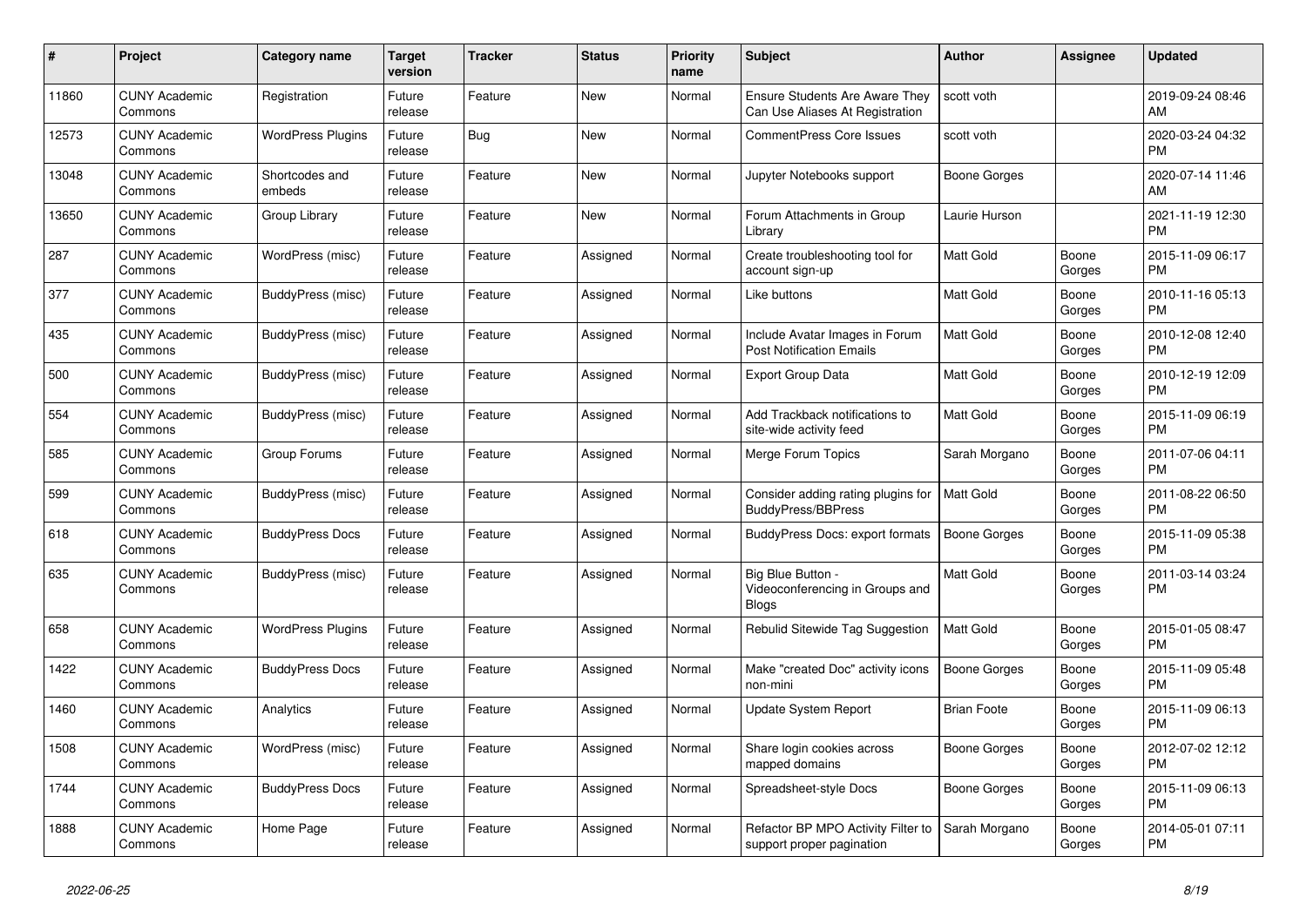| #     | <b>Project</b>                  | Category name            | Target<br>version | <b>Tracker</b> | <b>Status</b> | <b>Priority</b><br>name | <b>Subject</b>                                                           | <b>Author</b>       | Assignee        | <b>Updated</b>                |
|-------|---------------------------------|--------------------------|-------------------|----------------|---------------|-------------------------|--------------------------------------------------------------------------|---------------------|-----------------|-------------------------------|
| 11860 | <b>CUNY Academic</b><br>Commons | Registration             | Future<br>release | Feature        | <b>New</b>    | Normal                  | <b>Ensure Students Are Aware They</b><br>Can Use Aliases At Registration | scott voth          |                 | 2019-09-24 08:46<br>AM        |
| 12573 | <b>CUNY Academic</b><br>Commons | <b>WordPress Plugins</b> | Future<br>release | <b>Bug</b>     | <b>New</b>    | Normal                  | <b>CommentPress Core Issues</b>                                          | scott voth          |                 | 2020-03-24 04:32<br><b>PM</b> |
| 13048 | <b>CUNY Academic</b><br>Commons | Shortcodes and<br>embeds | Future<br>release | Feature        | New           | Normal                  | Jupyter Notebooks support                                                | Boone Gorges        |                 | 2020-07-14 11:46<br>AM        |
| 13650 | <b>CUNY Academic</b><br>Commons | Group Library            | Future<br>release | Feature        | <b>New</b>    | Normal                  | Forum Attachments in Group<br>Library                                    | Laurie Hurson       |                 | 2021-11-19 12:30<br><b>PM</b> |
| 287   | <b>CUNY Academic</b><br>Commons | WordPress (misc)         | Future<br>release | Feature        | Assigned      | Normal                  | Create troubleshooting tool for<br>account sign-up                       | Matt Gold           | Boone<br>Gorges | 2015-11-09 06:17<br><b>PM</b> |
| 377   | <b>CUNY Academic</b><br>Commons | BuddyPress (misc)        | Future<br>release | Feature        | Assigned      | Normal                  | Like buttons                                                             | Matt Gold           | Boone<br>Gorges | 2010-11-16 05:13<br><b>PM</b> |
| 435   | <b>CUNY Academic</b><br>Commons | BuddyPress (misc)        | Future<br>release | Feature        | Assigned      | Normal                  | Include Avatar Images in Forum<br><b>Post Notification Emails</b>        | <b>Matt Gold</b>    | Boone<br>Gorges | 2010-12-08 12:40<br><b>PM</b> |
| 500   | <b>CUNY Academic</b><br>Commons | BuddyPress (misc)        | Future<br>release | Feature        | Assigned      | Normal                  | <b>Export Group Data</b>                                                 | Matt Gold           | Boone<br>Gorges | 2010-12-19 12:09<br>PM        |
| 554   | <b>CUNY Academic</b><br>Commons | BuddyPress (misc)        | Future<br>release | Feature        | Assigned      | Normal                  | Add Trackback notifications to<br>site-wide activity feed                | Matt Gold           | Boone<br>Gorges | 2015-11-09 06:19<br><b>PM</b> |
| 585   | <b>CUNY Academic</b><br>Commons | Group Forums             | Future<br>release | Feature        | Assigned      | Normal                  | Merge Forum Topics                                                       | Sarah Morgano       | Boone<br>Gorges | 2011-07-06 04:11<br><b>PM</b> |
| 599   | <b>CUNY Academic</b><br>Commons | <b>BuddyPress (misc)</b> | Future<br>release | Feature        | Assigned      | Normal                  | Consider adding rating plugins for<br><b>BuddyPress/BBPress</b>          | <b>Matt Gold</b>    | Boone<br>Gorges | 2011-08-22 06:50<br><b>PM</b> |
| 618   | <b>CUNY Academic</b><br>Commons | <b>BuddyPress Docs</b>   | Future<br>release | Feature        | Assigned      | Normal                  | BuddyPress Docs: export formats                                          | <b>Boone Gorges</b> | Boone<br>Gorges | 2015-11-09 05:38<br><b>PM</b> |
| 635   | <b>CUNY Academic</b><br>Commons | <b>BuddyPress (misc)</b> | Future<br>release | Feature        | Assigned      | Normal                  | Big Blue Button -<br>Videoconferencing in Groups and<br>Blogs            | Matt Gold           | Boone<br>Gorges | 2011-03-14 03:24<br><b>PM</b> |
| 658   | <b>CUNY Academic</b><br>Commons | <b>WordPress Plugins</b> | Future<br>release | Feature        | Assigned      | Normal                  | Rebulid Sitewide Tag Suggestion                                          | Matt Gold           | Boone<br>Gorges | 2015-01-05 08:47<br><b>PM</b> |
| 1422  | <b>CUNY Academic</b><br>Commons | <b>BuddyPress Docs</b>   | Future<br>release | Feature        | Assigned      | Normal                  | Make "created Doc" activity icons<br>non-mini                            | Boone Gorges        | Boone<br>Gorges | 2015-11-09 05:48<br><b>PM</b> |
| 1460  | <b>CUNY Academic</b><br>Commons | Analytics                | Future<br>release | Feature        | Assigned      | Normal                  | Update System Report                                                     | <b>Brian Foote</b>  | Boone<br>Gorges | 2015-11-09 06:13<br><b>PM</b> |
| 1508  | <b>CUNY Academic</b><br>Commons | WordPress (misc)         | Future<br>release | Feature        | Assigned      | Normal                  | Share login cookies across<br>mapped domains                             | Boone Gorges        | Boone<br>Gorges | 2012-07-02 12:12<br><b>PM</b> |
| 1744  | <b>CUNY Academic</b><br>Commons | <b>BuddyPress Docs</b>   | Future<br>release | Feature        | Assigned      | Normal                  | Spreadsheet-style Docs                                                   | Boone Gorges        | Boone<br>Gorges | 2015-11-09 06:13<br><b>PM</b> |
| 1888  | <b>CUNY Academic</b><br>Commons | Home Page                | Future<br>release | Feature        | Assigned      | Normal                  | Refactor BP MPO Activity Filter to<br>support proper pagination          | Sarah Morgano       | Boone<br>Gorges | 2014-05-01 07:11<br><b>PM</b> |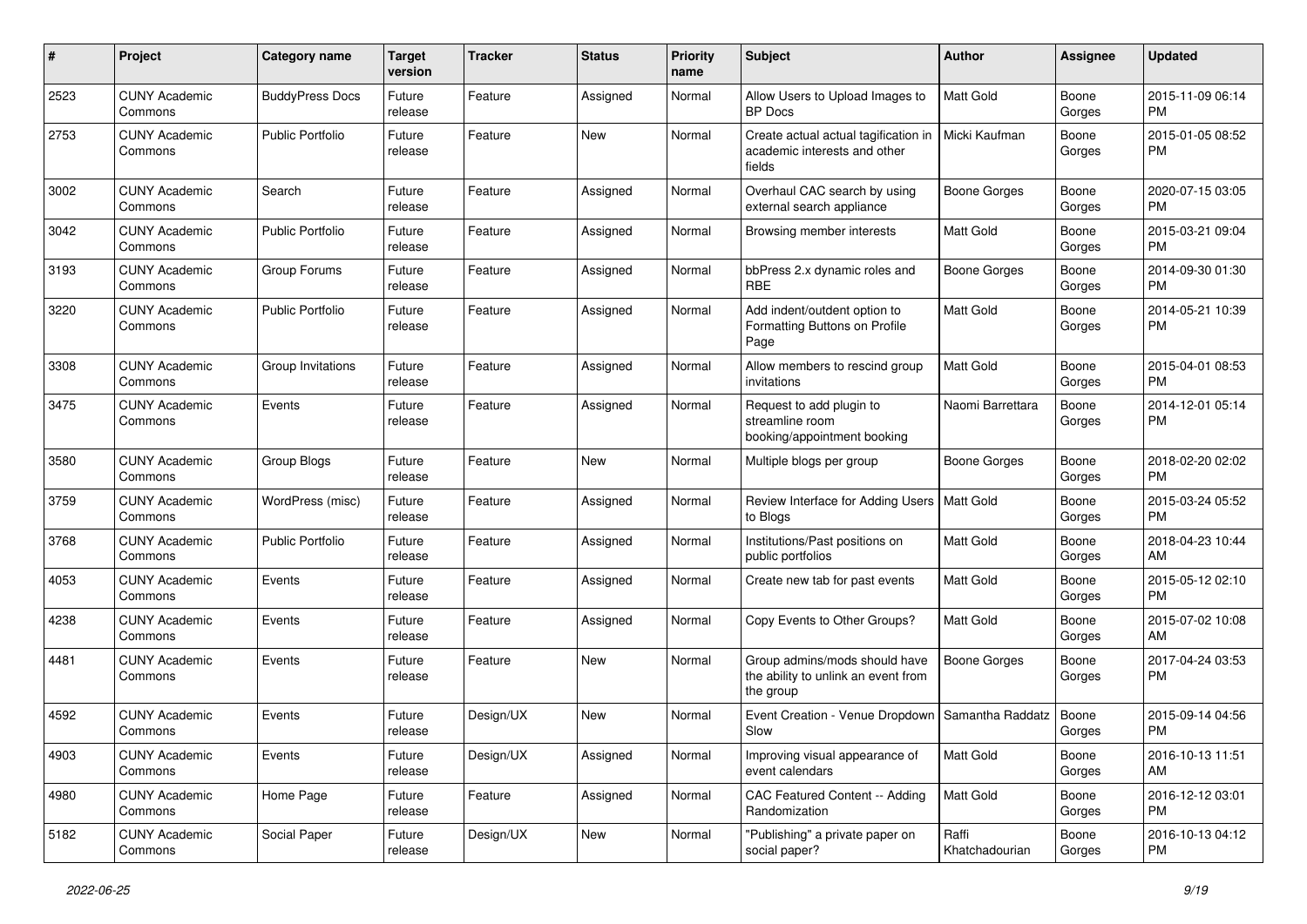| #    | Project                         | <b>Category name</b>    | <b>Target</b><br>version | <b>Tracker</b> | <b>Status</b> | <b>Priority</b><br>name | <b>Subject</b>                                                                    | Author                  | Assignee        | <b>Updated</b>                |
|------|---------------------------------|-------------------------|--------------------------|----------------|---------------|-------------------------|-----------------------------------------------------------------------------------|-------------------------|-----------------|-------------------------------|
| 2523 | <b>CUNY Academic</b><br>Commons | <b>BuddyPress Docs</b>  | Future<br>release        | Feature        | Assigned      | Normal                  | Allow Users to Upload Images to<br><b>BP</b> Docs                                 | <b>Matt Gold</b>        | Boone<br>Gorges | 2015-11-09 06:14<br><b>PM</b> |
| 2753 | <b>CUNY Academic</b><br>Commons | <b>Public Portfolio</b> | Future<br>release        | Feature        | New           | Normal                  | Create actual actual tagification in<br>academic interests and other<br>fields    | Micki Kaufman           | Boone<br>Gorges | 2015-01-05 08:52<br><b>PM</b> |
| 3002 | <b>CUNY Academic</b><br>Commons | Search                  | Future<br>release        | Feature        | Assigned      | Normal                  | Overhaul CAC search by using<br>external search appliance                         | <b>Boone Gorges</b>     | Boone<br>Gorges | 2020-07-15 03:05<br><b>PM</b> |
| 3042 | <b>CUNY Academic</b><br>Commons | <b>Public Portfolio</b> | Future<br>release        | Feature        | Assigned      | Normal                  | Browsing member interests                                                         | Matt Gold               | Boone<br>Gorges | 2015-03-21 09:04<br><b>PM</b> |
| 3193 | <b>CUNY Academic</b><br>Commons | Group Forums            | Future<br>release        | Feature        | Assigned      | Normal                  | bbPress 2.x dynamic roles and<br><b>RBE</b>                                       | Boone Gorges            | Boone<br>Gorges | 2014-09-30 01:30<br><b>PM</b> |
| 3220 | <b>CUNY Academic</b><br>Commons | <b>Public Portfolio</b> | Future<br>release        | Feature        | Assigned      | Normal                  | Add indent/outdent option to<br>Formatting Buttons on Profile<br>Page             | Matt Gold               | Boone<br>Gorges | 2014-05-21 10:39<br><b>PM</b> |
| 3308 | <b>CUNY Academic</b><br>Commons | Group Invitations       | Future<br>release        | Feature        | Assigned      | Normal                  | Allow members to rescind group<br>invitations                                     | <b>Matt Gold</b>        | Boone<br>Gorges | 2015-04-01 08:53<br><b>PM</b> |
| 3475 | <b>CUNY Academic</b><br>Commons | Events                  | Future<br>release        | Feature        | Assigned      | Normal                  | Request to add plugin to<br>streamline room<br>booking/appointment booking        | Naomi Barrettara        | Boone<br>Gorges | 2014-12-01 05:14<br><b>PM</b> |
| 3580 | <b>CUNY Academic</b><br>Commons | Group Blogs             | Future<br>release        | Feature        | <b>New</b>    | Normal                  | Multiple blogs per group                                                          | <b>Boone Gorges</b>     | Boone<br>Gorges | 2018-02-20 02:02<br><b>PM</b> |
| 3759 | <b>CUNY Academic</b><br>Commons | WordPress (misc)        | Future<br>release        | Feature        | Assigned      | Normal                  | Review Interface for Adding Users   Matt Gold<br>to Blogs                         |                         | Boone<br>Gorges | 2015-03-24 05:52<br><b>PM</b> |
| 3768 | <b>CUNY Academic</b><br>Commons | <b>Public Portfolio</b> | Future<br>release        | Feature        | Assigned      | Normal                  | Institutions/Past positions on<br>public portfolios                               | Matt Gold               | Boone<br>Gorges | 2018-04-23 10:44<br>AM        |
| 4053 | <b>CUNY Academic</b><br>Commons | Events                  | Future<br>release        | Feature        | Assigned      | Normal                  | Create new tab for past events                                                    | Matt Gold               | Boone<br>Gorges | 2015-05-12 02:10<br><b>PM</b> |
| 4238 | <b>CUNY Academic</b><br>Commons | Events                  | Future<br>release        | Feature        | Assigned      | Normal                  | Copy Events to Other Groups?                                                      | <b>Matt Gold</b>        | Boone<br>Gorges | 2015-07-02 10:08<br>AM        |
| 4481 | <b>CUNY Academic</b><br>Commons | Events                  | Future<br>release        | Feature        | New           | Normal                  | Group admins/mods should have<br>the ability to unlink an event from<br>the group | <b>Boone Gorges</b>     | Boone<br>Gorges | 2017-04-24 03:53<br><b>PM</b> |
| 4592 | <b>CUNY Academic</b><br>Commons | Events                  | Future<br>release        | Design/UX      | <b>New</b>    | Normal                  | Event Creation - Venue Dropdown<br>Slow                                           | Samantha Raddatz        | Boone<br>Gorges | 2015-09-14 04:56<br><b>PM</b> |
| 4903 | <b>CUNY Academic</b><br>Commons | Events                  | Future<br>release        | Design/UX      | Assigned      | Normal                  | Improving visual appearance of<br>event calendars                                 | Matt Gold               | Boone<br>Gorges | 2016-10-13 11:51<br>AM        |
| 4980 | <b>CUNY Academic</b><br>Commons | Home Page               | Future<br>release        | Feature        | Assigned      | Normal                  | CAC Featured Content -- Adding<br>Randomization                                   | Matt Gold               | Boone<br>Gorges | 2016-12-12 03:01<br><b>PM</b> |
| 5182 | <b>CUNY Academic</b><br>Commons | Social Paper            | Future<br>release        | Design/UX      | New           | Normal                  | "Publishing" a private paper on<br>social paper?                                  | Raffi<br>Khatchadourian | Boone<br>Gorges | 2016-10-13 04:12<br><b>PM</b> |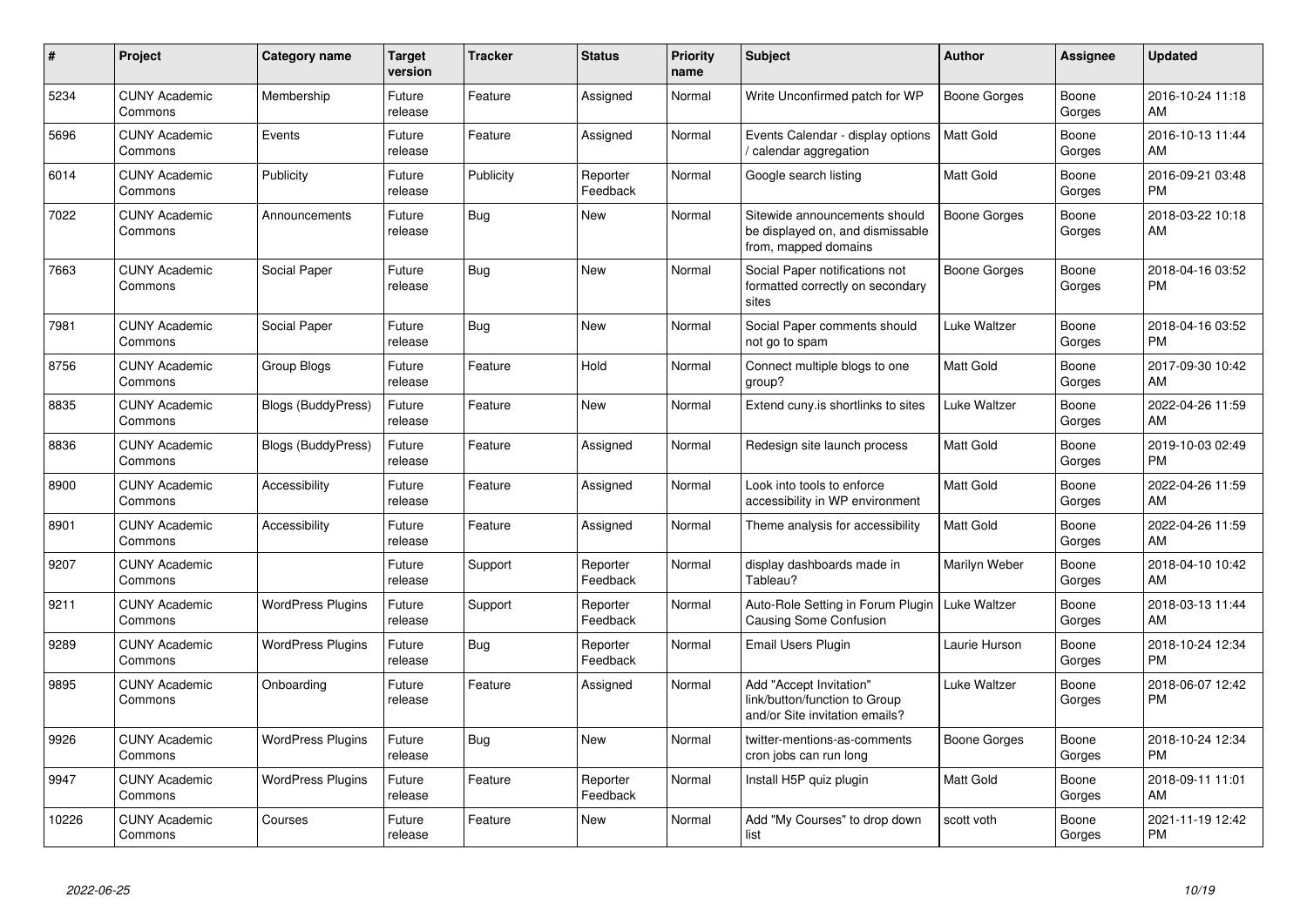| #     | Project                         | <b>Category name</b>      | <b>Target</b><br>version | <b>Tracker</b> | <b>Status</b>        | <b>Priority</b><br>name | <b>Subject</b>                                                                             | <b>Author</b>    | Assignee        | <b>Updated</b>                |
|-------|---------------------------------|---------------------------|--------------------------|----------------|----------------------|-------------------------|--------------------------------------------------------------------------------------------|------------------|-----------------|-------------------------------|
| 5234  | <b>CUNY Academic</b><br>Commons | Membership                | Future<br>release        | Feature        | Assigned             | Normal                  | Write Unconfirmed patch for WP                                                             | Boone Gorges     | Boone<br>Gorges | 2016-10-24 11:18<br>AM        |
| 5696  | <b>CUNY Academic</b><br>Commons | Events                    | Future<br>release        | Feature        | Assigned             | Normal                  | Events Calendar - display options<br>calendar aggregation /                                | <b>Matt Gold</b> | Boone<br>Gorges | 2016-10-13 11:44<br>AM        |
| 6014  | <b>CUNY Academic</b><br>Commons | Publicity                 | Future<br>release        | Publicity      | Reporter<br>Feedback | Normal                  | Google search listing                                                                      | <b>Matt Gold</b> | Boone<br>Gorges | 2016-09-21 03:48<br><b>PM</b> |
| 7022  | <b>CUNY Academic</b><br>Commons | Announcements             | Future<br>release        | <b>Bug</b>     | <b>New</b>           | Normal                  | Sitewide announcements should<br>be displayed on, and dismissable<br>from, mapped domains  | Boone Gorges     | Boone<br>Gorges | 2018-03-22 10:18<br>AM        |
| 7663  | <b>CUNY Academic</b><br>Commons | Social Paper              | Future<br>release        | Bug            | <b>New</b>           | Normal                  | Social Paper notifications not<br>formatted correctly on secondary<br>sites                | Boone Gorges     | Boone<br>Gorges | 2018-04-16 03:52<br><b>PM</b> |
| 7981  | <b>CUNY Academic</b><br>Commons | Social Paper              | Future<br>release        | Bug            | New                  | Normal                  | Social Paper comments should<br>not go to spam                                             | Luke Waltzer     | Boone<br>Gorges | 2018-04-16 03:52<br><b>PM</b> |
| 8756  | <b>CUNY Academic</b><br>Commons | Group Blogs               | Future<br>release        | Feature        | Hold                 | Normal                  | Connect multiple blogs to one<br>group?                                                    | Matt Gold        | Boone<br>Gorges | 2017-09-30 10:42<br>AM        |
| 8835  | <b>CUNY Academic</b><br>Commons | <b>Blogs (BuddyPress)</b> | Future<br>release        | Feature        | New                  | Normal                  | Extend cuny. is shortlinks to sites                                                        | Luke Waltzer     | Boone<br>Gorges | 2022-04-26 11:59<br>AM        |
| 8836  | <b>CUNY Academic</b><br>Commons | <b>Blogs (BuddyPress)</b> | Future<br>release        | Feature        | Assigned             | Normal                  | Redesign site launch process                                                               | <b>Matt Gold</b> | Boone<br>Gorges | 2019-10-03 02:49<br><b>PM</b> |
| 8900  | <b>CUNY Academic</b><br>Commons | Accessibility             | Future<br>release        | Feature        | Assigned             | Normal                  | Look into tools to enforce<br>accessibility in WP environment                              | Matt Gold        | Boone<br>Gorges | 2022-04-26 11:59<br>AM        |
| 8901  | <b>CUNY Academic</b><br>Commons | Accessibility             | Future<br>release        | Feature        | Assigned             | Normal                  | Theme analysis for accessibility                                                           | <b>Matt Gold</b> | Boone<br>Gorges | 2022-04-26 11:59<br>AM        |
| 9207  | <b>CUNY Academic</b><br>Commons |                           | Future<br>release        | Support        | Reporter<br>Feedback | Normal                  | display dashboards made in<br>Tableau?                                                     | Marilyn Weber    | Boone<br>Gorges | 2018-04-10 10:42<br>AM        |
| 9211  | <b>CUNY Academic</b><br>Commons | <b>WordPress Plugins</b>  | Future<br>release        | Support        | Reporter<br>Feedback | Normal                  | Auto-Role Setting in Forum Plugin<br>Causing Some Confusion                                | Luke Waltzer     | Boone<br>Gorges | 2018-03-13 11:44<br>AM        |
| 9289  | <b>CUNY Academic</b><br>Commons | <b>WordPress Plugins</b>  | Future<br>release        | <b>Bug</b>     | Reporter<br>Feedback | Normal                  | Email Users Plugin                                                                         | Laurie Hurson    | Boone<br>Gorges | 2018-10-24 12:34<br><b>PM</b> |
| 9895  | <b>CUNY Academic</b><br>Commons | Onboarding                | Future<br>release        | Feature        | Assigned             | Normal                  | Add "Accept Invitation"<br>link/button/function to Group<br>and/or Site invitation emails? | Luke Waltzer     | Boone<br>Gorges | 2018-06-07 12:42<br><b>PM</b> |
| 9926  | <b>CUNY Academic</b><br>Commons | <b>WordPress Plugins</b>  | Future<br>release        | Bug            | <b>New</b>           | Normal                  | twitter-mentions-as-comments<br>cron jobs can run long                                     | Boone Gorges     | Boone<br>Gorges | 2018-10-24 12:34<br><b>PM</b> |
| 9947  | <b>CUNY Academic</b><br>Commons | <b>WordPress Plugins</b>  | Future<br>release        | Feature        | Reporter<br>Feedback | Normal                  | Install H5P quiz plugin                                                                    | Matt Gold        | Boone<br>Gorges | 2018-09-11 11:01<br>AM        |
| 10226 | <b>CUNY Academic</b><br>Commons | Courses                   | Future<br>release        | Feature        | <b>New</b>           | Normal                  | Add "My Courses" to drop down<br>list                                                      | scott voth       | Boone<br>Gorges | 2021-11-19 12:42<br>PM        |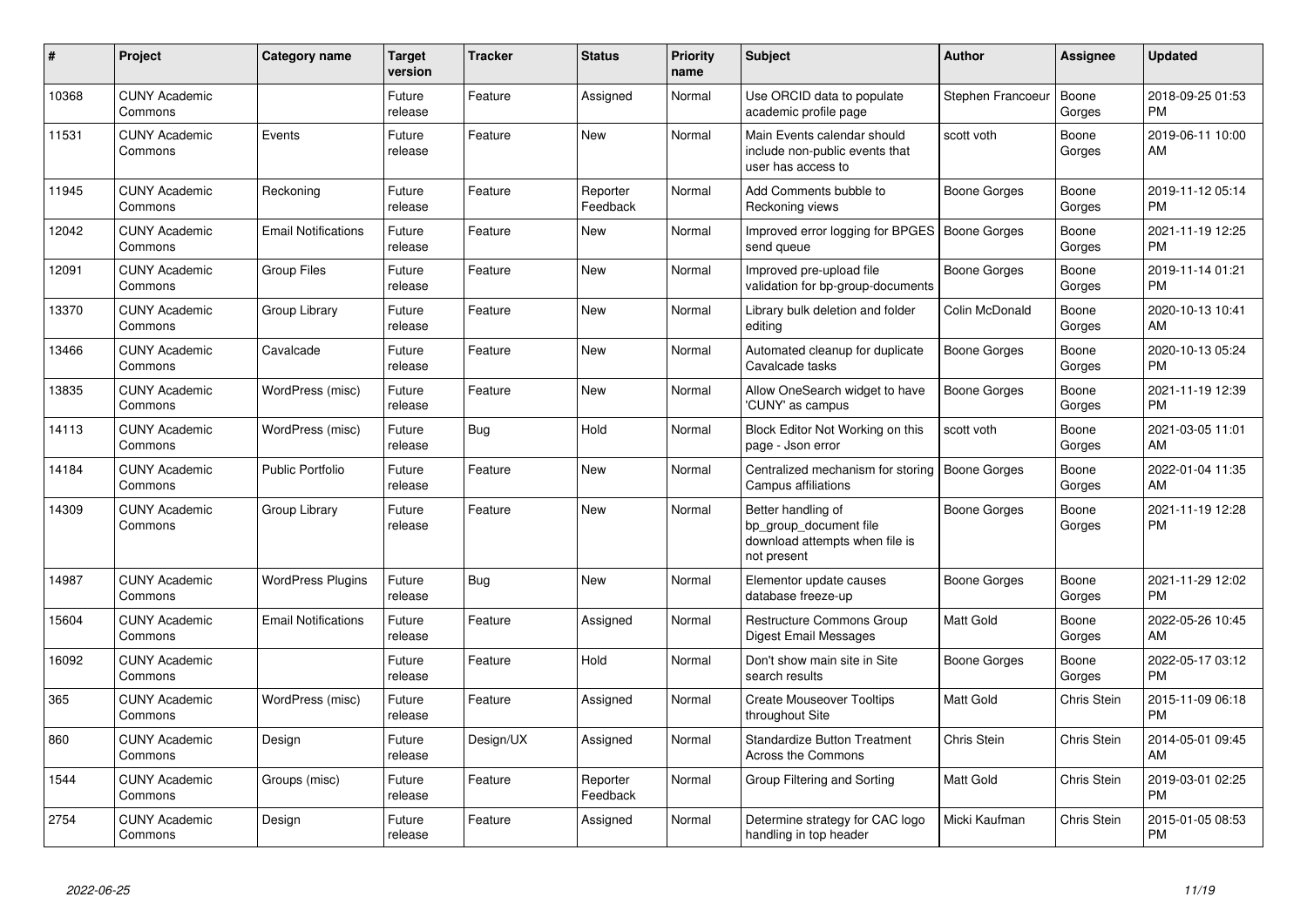| #     | <b>Project</b>                  | <b>Category name</b>       | <b>Target</b><br>version | <b>Tracker</b> | <b>Status</b>        | Priority<br>name | <b>Subject</b>                                                                                | <b>Author</b>       | Assignee        | <b>Updated</b>                |
|-------|---------------------------------|----------------------------|--------------------------|----------------|----------------------|------------------|-----------------------------------------------------------------------------------------------|---------------------|-----------------|-------------------------------|
| 10368 | <b>CUNY Academic</b><br>Commons |                            | Future<br>release        | Feature        | Assigned             | Normal           | Use ORCID data to populate<br>academic profile page                                           | Stephen Francoeur   | Boone<br>Gorges | 2018-09-25 01:53<br><b>PM</b> |
| 11531 | <b>CUNY Academic</b><br>Commons | Events                     | Future<br>release        | Feature        | <b>New</b>           | Normal           | Main Events calendar should<br>include non-public events that<br>user has access to           | scott voth          | Boone<br>Gorges | 2019-06-11 10:00<br>AM        |
| 11945 | <b>CUNY Academic</b><br>Commons | Reckoning                  | Future<br>release        | Feature        | Reporter<br>Feedback | Normal           | Add Comments bubble to<br>Reckoning views                                                     | <b>Boone Gorges</b> | Boone<br>Gorges | 2019-11-12 05:14<br><b>PM</b> |
| 12042 | <b>CUNY Academic</b><br>Commons | <b>Email Notifications</b> | Future<br>release        | Feature        | New                  | Normal           | Improved error logging for BPGES   Boone Gorges<br>send queue                                 |                     | Boone<br>Gorges | 2021-11-19 12:25<br><b>PM</b> |
| 12091 | <b>CUNY Academic</b><br>Commons | <b>Group Files</b>         | Future<br>release        | Feature        | New                  | Normal           | Improved pre-upload file<br>validation for bp-group-documents                                 | Boone Gorges        | Boone<br>Gorges | 2019-11-14 01:21<br><b>PM</b> |
| 13370 | <b>CUNY Academic</b><br>Commons | Group Library              | Future<br>release        | Feature        | <b>New</b>           | Normal           | Library bulk deletion and folder<br>editing                                                   | Colin McDonald      | Boone<br>Gorges | 2020-10-13 10:41<br>AM        |
| 13466 | <b>CUNY Academic</b><br>Commons | Cavalcade                  | Future<br>release        | Feature        | <b>New</b>           | Normal           | Automated cleanup for duplicate<br>Cavalcade tasks                                            | <b>Boone Gorges</b> | Boone<br>Gorges | 2020-10-13 05:24<br><b>PM</b> |
| 13835 | <b>CUNY Academic</b><br>Commons | WordPress (misc)           | Future<br>release        | Feature        | <b>New</b>           | Normal           | Allow OneSearch widget to have<br>'CUNY' as campus                                            | <b>Boone Gorges</b> | Boone<br>Gorges | 2021-11-19 12:39<br><b>PM</b> |
| 14113 | <b>CUNY Academic</b><br>Commons | WordPress (misc)           | Future<br>release        | <b>Bug</b>     | Hold                 | Normal           | Block Editor Not Working on this<br>page - Json error                                         | scott voth          | Boone<br>Gorges | 2021-03-05 11:01<br>AM        |
| 14184 | <b>CUNY Academic</b><br>Commons | <b>Public Portfolio</b>    | Future<br>release        | Feature        | <b>New</b>           | Normal           | Centralized mechanism for storing<br>Campus affiliations                                      | <b>Boone Gorges</b> | Boone<br>Gorges | 2022-01-04 11:35<br>AM        |
| 14309 | <b>CUNY Academic</b><br>Commons | Group Library              | Future<br>release        | Feature        | <b>New</b>           | Normal           | Better handling of<br>bp group document file<br>download attempts when file is<br>not present | <b>Boone Gorges</b> | Boone<br>Gorges | 2021-11-19 12:28<br><b>PM</b> |
| 14987 | <b>CUNY Academic</b><br>Commons | <b>WordPress Plugins</b>   | Future<br>release        | Bug            | <b>New</b>           | Normal           | Elementor update causes<br>database freeze-up                                                 | <b>Boone Gorges</b> | Boone<br>Gorges | 2021-11-29 12:02<br><b>PM</b> |
| 15604 | <b>CUNY Academic</b><br>Commons | <b>Email Notifications</b> | Future<br>release        | Feature        | Assigned             | Normal           | Restructure Commons Group<br>Digest Email Messages                                            | Matt Gold           | Boone<br>Gorges | 2022-05-26 10:45<br>AM        |
| 16092 | <b>CUNY Academic</b><br>Commons |                            | Future<br>release        | Feature        | Hold                 | Normal           | Don't show main site in Site<br>search results                                                | <b>Boone Gorges</b> | Boone<br>Gorges | 2022-05-17 03:12<br><b>PM</b> |
| 365   | <b>CUNY Academic</b><br>Commons | WordPress (misc)           | Future<br>release        | Feature        | Assigned             | Normal           | <b>Create Mouseover Tooltips</b><br>throughout Site                                           | Matt Gold           | Chris Stein     | 2015-11-09 06:18<br><b>PM</b> |
| 860   | <b>CUNY Academic</b><br>Commons | Design                     | Future<br>release        | Design/UX      | Assigned             | Normal           | <b>Standardize Button Treatment</b><br>Across the Commons                                     | <b>Chris Stein</b>  | Chris Stein     | 2014-05-01 09:45<br>AM        |
| 1544  | <b>CUNY Academic</b><br>Commons | Groups (misc)              | Future<br>release        | Feature        | Reporter<br>Feedback | Normal           | Group Filtering and Sorting                                                                   | Matt Gold           | Chris Stein     | 2019-03-01 02:25<br><b>PM</b> |
| 2754  | <b>CUNY Academic</b><br>Commons | Design                     | Future<br>release        | Feature        | Assigned             | Normal           | Determine strategy for CAC logo<br>handling in top header                                     | Micki Kaufman       | Chris Stein     | 2015-01-05 08:53<br>PM        |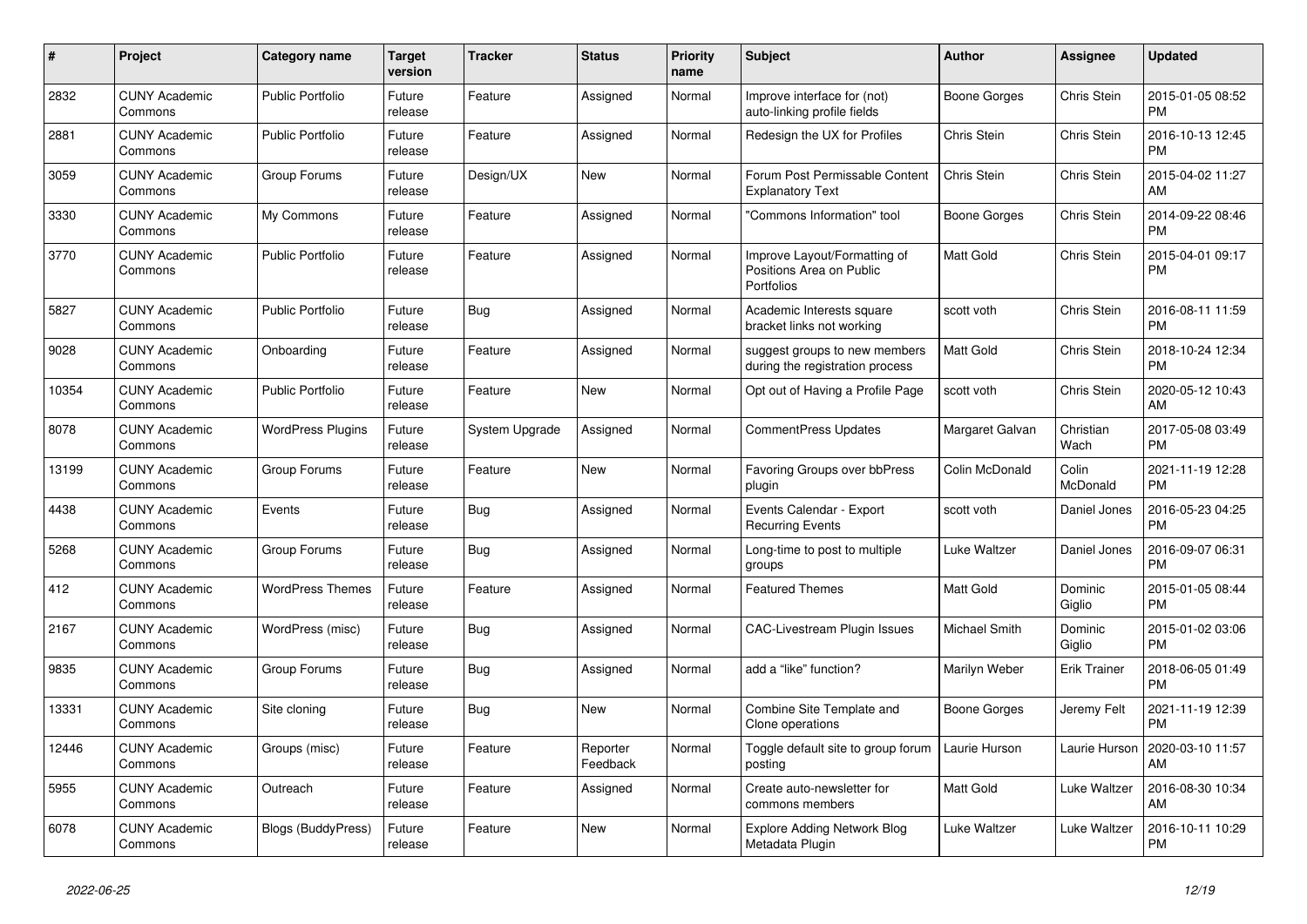| #     | <b>Project</b>                  | <b>Category name</b>      | <b>Target</b><br>version | <b>Tracker</b> | <b>Status</b>        | <b>Priority</b><br>name | <b>Subject</b>                                                         | <b>Author</b>      | Assignee            | <b>Updated</b>                |
|-------|---------------------------------|---------------------------|--------------------------|----------------|----------------------|-------------------------|------------------------------------------------------------------------|--------------------|---------------------|-------------------------------|
| 2832  | <b>CUNY Academic</b><br>Commons | <b>Public Portfolio</b>   | Future<br>release        | Feature        | Assigned             | Normal                  | Improve interface for (not)<br>auto-linking profile fields             | Boone Gorges       | Chris Stein         | 2015-01-05 08:52<br><b>PM</b> |
| 2881  | <b>CUNY Academic</b><br>Commons | <b>Public Portfolio</b>   | Future<br>release        | Feature        | Assigned             | Normal                  | Redesign the UX for Profiles                                           | Chris Stein        | Chris Stein         | 2016-10-13 12:45<br><b>PM</b> |
| 3059  | <b>CUNY Academic</b><br>Commons | Group Forums              | Future<br>release        | Design/UX      | <b>New</b>           | Normal                  | Forum Post Permissable Content<br><b>Explanatory Text</b>              | <b>Chris Stein</b> | Chris Stein         | 2015-04-02 11:27<br>AM        |
| 3330  | <b>CUNY Academic</b><br>Commons | My Commons                | Future<br>release        | Feature        | Assigned             | Normal                  | "Commons Information" tool                                             | Boone Gorges       | Chris Stein         | 2014-09-22 08:46<br><b>PM</b> |
| 3770  | <b>CUNY Academic</b><br>Commons | <b>Public Portfolio</b>   | Future<br>release        | Feature        | Assigned             | Normal                  | Improve Layout/Formatting of<br>Positions Area on Public<br>Portfolios | <b>Matt Gold</b>   | Chris Stein         | 2015-04-01 09:17<br><b>PM</b> |
| 5827  | <b>CUNY Academic</b><br>Commons | <b>Public Portfolio</b>   | Future<br>release        | Bug            | Assigned             | Normal                  | Academic Interests square<br>bracket links not working                 | scott voth         | Chris Stein         | 2016-08-11 11:59<br><b>PM</b> |
| 9028  | <b>CUNY Academic</b><br>Commons | Onboarding                | Future<br>release        | Feature        | Assigned             | Normal                  | suggest groups to new members<br>during the registration process       | Matt Gold          | Chris Stein         | 2018-10-24 12:34<br><b>PM</b> |
| 10354 | <b>CUNY Academic</b><br>Commons | <b>Public Portfolio</b>   | Future<br>release        | Feature        | New                  | Normal                  | Opt out of Having a Profile Page                                       | scott voth         | Chris Stein         | 2020-05-12 10:43<br>AM        |
| 8078  | <b>CUNY Academic</b><br>Commons | <b>WordPress Plugins</b>  | Future<br>release        | System Upgrade | Assigned             | Normal                  | <b>CommentPress Updates</b>                                            | Margaret Galvan    | Christian<br>Wach   | 2017-05-08 03:49<br><b>PM</b> |
| 13199 | <b>CUNY Academic</b><br>Commons | Group Forums              | Future<br>release        | Feature        | <b>New</b>           | Normal                  | Favoring Groups over bbPress<br>plugin                                 | Colin McDonald     | Colin<br>McDonald   | 2021-11-19 12:28<br><b>PM</b> |
| 4438  | <b>CUNY Academic</b><br>Commons | Events                    | Future<br>release        | Bug            | Assigned             | Normal                  | Events Calendar - Export<br><b>Recurring Events</b>                    | scott voth         | Daniel Jones        | 2016-05-23 04:25<br><b>PM</b> |
| 5268  | <b>CUNY Academic</b><br>Commons | Group Forums              | Future<br>release        | Bug            | Assigned             | Normal                  | Long-time to post to multiple<br>groups                                | Luke Waltzer       | Daniel Jones        | 2016-09-07 06:31<br><b>PM</b> |
| 412   | <b>CUNY Academic</b><br>Commons | <b>WordPress Themes</b>   | Future<br>release        | Feature        | Assigned             | Normal                  | <b>Featured Themes</b>                                                 | Matt Gold          | Dominic<br>Giglio   | 2015-01-05 08:44<br><b>PM</b> |
| 2167  | <b>CUNY Academic</b><br>Commons | WordPress (misc)          | Future<br>release        | Bug            | Assigned             | Normal                  | <b>CAC-Livestream Plugin Issues</b>                                    | Michael Smith      | Dominic<br>Giglio   | 2015-01-02 03:06<br><b>PM</b> |
| 9835  | <b>CUNY Academic</b><br>Commons | Group Forums              | Future<br>release        | Bug            | Assigned             | Normal                  | add a "like" function?                                                 | Marilyn Weber      | <b>Erik Trainer</b> | 2018-06-05 01:49<br><b>PM</b> |
| 13331 | <b>CUNY Academic</b><br>Commons | Site cloning              | Future<br>release        | Bug            | <b>New</b>           | Normal                  | Combine Site Template and<br>Clone operations                          | Boone Gorges       | Jeremy Felt         | 2021-11-19 12:39<br><b>PM</b> |
| 12446 | <b>CUNY Academic</b><br>Commons | Groups (misc)             | Future<br>release        | Feature        | Reporter<br>Feedback | Normal                  | Toggle default site to group forum<br>posting                          | Laurie Hurson      | Laurie Hurson       | 2020-03-10 11:57<br>AM        |
| 5955  | <b>CUNY Academic</b><br>Commons | Outreach                  | Future<br>release        | Feature        | Assigned             | Normal                  | Create auto-newsletter for<br>commons members                          | <b>Matt Gold</b>   | Luke Waltzer        | 2016-08-30 10:34<br>AM        |
| 6078  | <b>CUNY Academic</b><br>Commons | <b>Blogs (BuddyPress)</b> | Future<br>release        | Feature        | <b>New</b>           | Normal                  | <b>Explore Adding Network Blog</b><br>Metadata Plugin                  | Luke Waltzer       | Luke Waltzer        | 2016-10-11 10:29<br>PM        |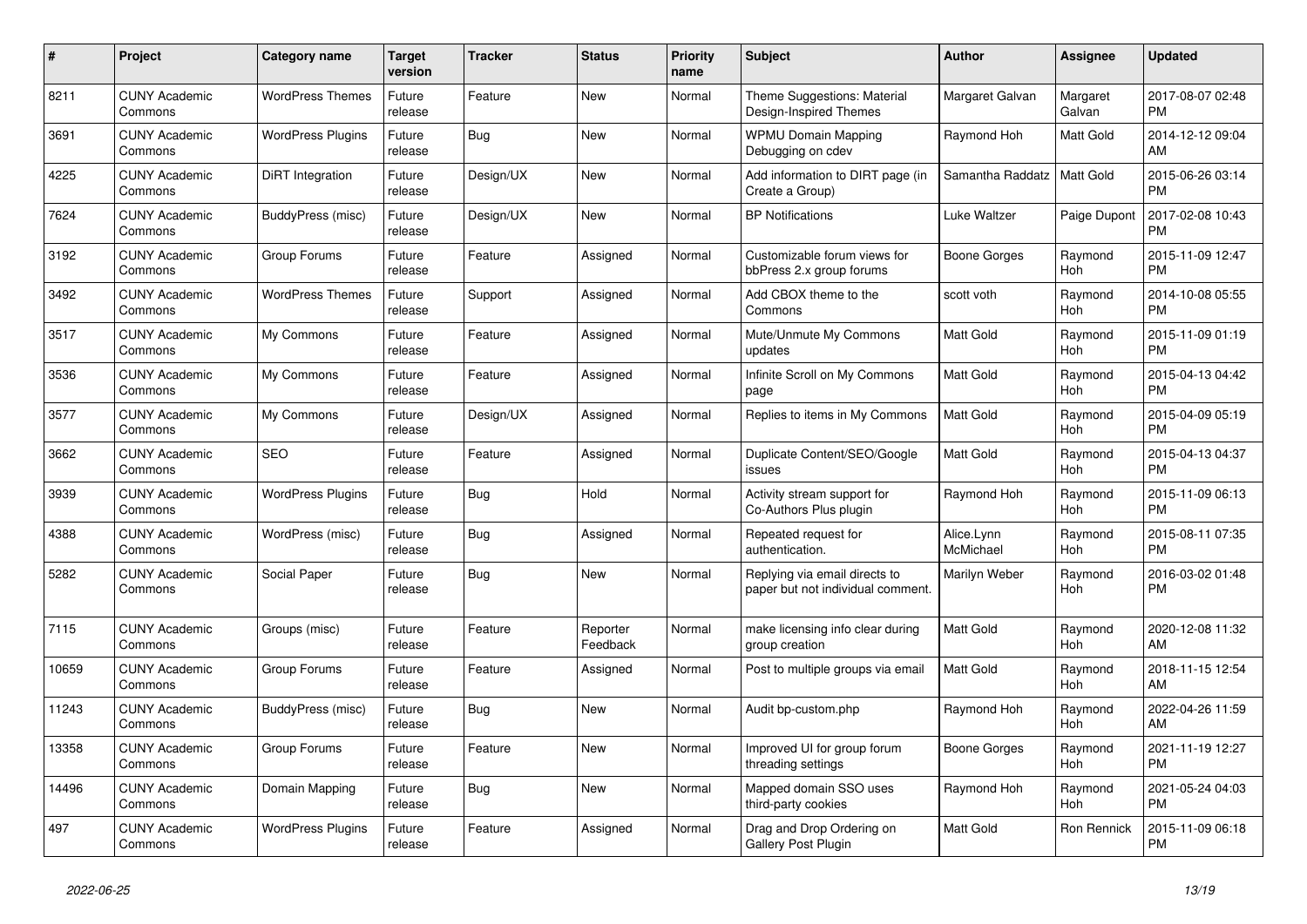| #     | Project                         | <b>Category name</b>     | <b>Target</b><br>version | <b>Tracker</b> | <b>Status</b>        | <b>Priority</b><br>name | <b>Subject</b>                                                     | <b>Author</b>           | Assignee           | <b>Updated</b>                |
|-------|---------------------------------|--------------------------|--------------------------|----------------|----------------------|-------------------------|--------------------------------------------------------------------|-------------------------|--------------------|-------------------------------|
| 8211  | <b>CUNY Academic</b><br>Commons | <b>WordPress Themes</b>  | Future<br>release        | Feature        | <b>New</b>           | Normal                  | Theme Suggestions: Material<br>Design-Inspired Themes              | Margaret Galvan         | Margaret<br>Galvan | 2017-08-07 02:48<br><b>PM</b> |
| 3691  | <b>CUNY Academic</b><br>Commons | <b>WordPress Plugins</b> | Future<br>release        | <b>Bug</b>     | <b>New</b>           | Normal                  | <b>WPMU Domain Mapping</b><br>Debugging on cdev                    | Raymond Hoh             | Matt Gold          | 2014-12-12 09:04<br>AM        |
| 4225  | <b>CUNY Academic</b><br>Commons | DiRT Integration         | Future<br>release        | Design/UX      | <b>New</b>           | Normal                  | Add information to DIRT page (in<br>Create a Group)                | Samantha Raddatz        | Matt Gold          | 2015-06-26 03:14<br><b>PM</b> |
| 7624  | <b>CUNY Academic</b><br>Commons | BuddyPress (misc)        | Future<br>release        | Design/UX      | <b>New</b>           | Normal                  | <b>BP</b> Notifications                                            | Luke Waltzer            | Paige Dupont       | 2017-02-08 10:43<br><b>PM</b> |
| 3192  | <b>CUNY Academic</b><br>Commons | Group Forums             | Future<br>release        | Feature        | Assigned             | Normal                  | Customizable forum views for<br>bbPress 2.x group forums           | Boone Gorges            | Raymond<br>Hoh     | 2015-11-09 12:47<br><b>PM</b> |
| 3492  | <b>CUNY Academic</b><br>Commons | <b>WordPress Themes</b>  | Future<br>release        | Support        | Assigned             | Normal                  | Add CBOX theme to the<br>Commons                                   | scott voth              | Raymond<br>Hoh     | 2014-10-08 05:55<br><b>PM</b> |
| 3517  | <b>CUNY Academic</b><br>Commons | My Commons               | Future<br>release        | Feature        | Assigned             | Normal                  | Mute/Unmute My Commons<br>updates                                  | <b>Matt Gold</b>        | Raymond<br>Hoh     | 2015-11-09 01:19<br><b>PM</b> |
| 3536  | <b>CUNY Academic</b><br>Commons | My Commons               | Future<br>release        | Feature        | Assigned             | Normal                  | Infinite Scroll on My Commons<br>page                              | <b>Matt Gold</b>        | Raymond<br>Hoh     | 2015-04-13 04:42<br><b>PM</b> |
| 3577  | <b>CUNY Academic</b><br>Commons | My Commons               | Future<br>release        | Design/UX      | Assigned             | Normal                  | Replies to items in My Commons                                     | Matt Gold               | Raymond<br>Hoh     | 2015-04-09 05:19<br><b>PM</b> |
| 3662  | <b>CUNY Academic</b><br>Commons | <b>SEO</b>               | Future<br>release        | Feature        | Assigned             | Normal                  | Duplicate Content/SEO/Google<br>issues                             | <b>Matt Gold</b>        | Raymond<br>Hoh     | 2015-04-13 04:37<br><b>PM</b> |
| 3939  | <b>CUNY Academic</b><br>Commons | <b>WordPress Plugins</b> | Future<br>release        | Bug            | Hold                 | Normal                  | Activity stream support for<br>Co-Authors Plus plugin              | Raymond Hoh             | Raymond<br>Hoh     | 2015-11-09 06:13<br><b>PM</b> |
| 4388  | <b>CUNY Academic</b><br>Commons | WordPress (misc)         | Future<br>release        | <b>Bug</b>     | Assigned             | Normal                  | Repeated request for<br>authentication.                            | Alice.Lynn<br>McMichael | Raymond<br>Hoh     | 2015-08-11 07:35<br><b>PM</b> |
| 5282  | <b>CUNY Academic</b><br>Commons | Social Paper             | Future<br>release        | <b>Bug</b>     | <b>New</b>           | Normal                  | Replying via email directs to<br>paper but not individual comment. | Marilyn Weber           | Raymond<br>Hoh     | 2016-03-02 01:48<br><b>PM</b> |
| 7115  | <b>CUNY Academic</b><br>Commons | Groups (misc)            | Future<br>release        | Feature        | Reporter<br>Feedback | Normal                  | make licensing info clear during<br>group creation                 | Matt Gold               | Raymond<br>Hoh     | 2020-12-08 11:32<br>AM        |
| 10659 | <b>CUNY Academic</b><br>Commons | Group Forums             | Future<br>release        | Feature        | Assigned             | Normal                  | Post to multiple groups via email                                  | Matt Gold               | Raymond<br>Hoh     | 2018-11-15 12:54<br>AM        |
| 11243 | <b>CUNY Academic</b><br>Commons | BuddyPress (misc)        | Future<br>release        | Bug            | <b>New</b>           | Normal                  | Audit bp-custom.php                                                | Raymond Hoh             | Raymond<br>Hoh     | 2022-04-26 11:59<br>AM        |
| 13358 | <b>CUNY Academic</b><br>Commons | Group Forums             | Future<br>release        | Feature        | <b>New</b>           | Normal                  | Improved UI for group forum<br>threading settings                  | Boone Gorges            | Raymond<br>Hoh     | 2021-11-19 12:27<br><b>PM</b> |
| 14496 | <b>CUNY Academic</b><br>Commons | Domain Mapping           | Future<br>release        | Bug            | <b>New</b>           | Normal                  | Mapped domain SSO uses<br>third-party cookies                      | Raymond Hoh             | Raymond<br>Hoh     | 2021-05-24 04:03<br><b>PM</b> |
| 497   | <b>CUNY Academic</b><br>Commons | <b>WordPress Plugins</b> | Future<br>release        | Feature        | Assigned             | Normal                  | Drag and Drop Ordering on<br>Gallery Post Plugin                   | <b>Matt Gold</b>        | Ron Rennick        | 2015-11-09 06:18<br><b>PM</b> |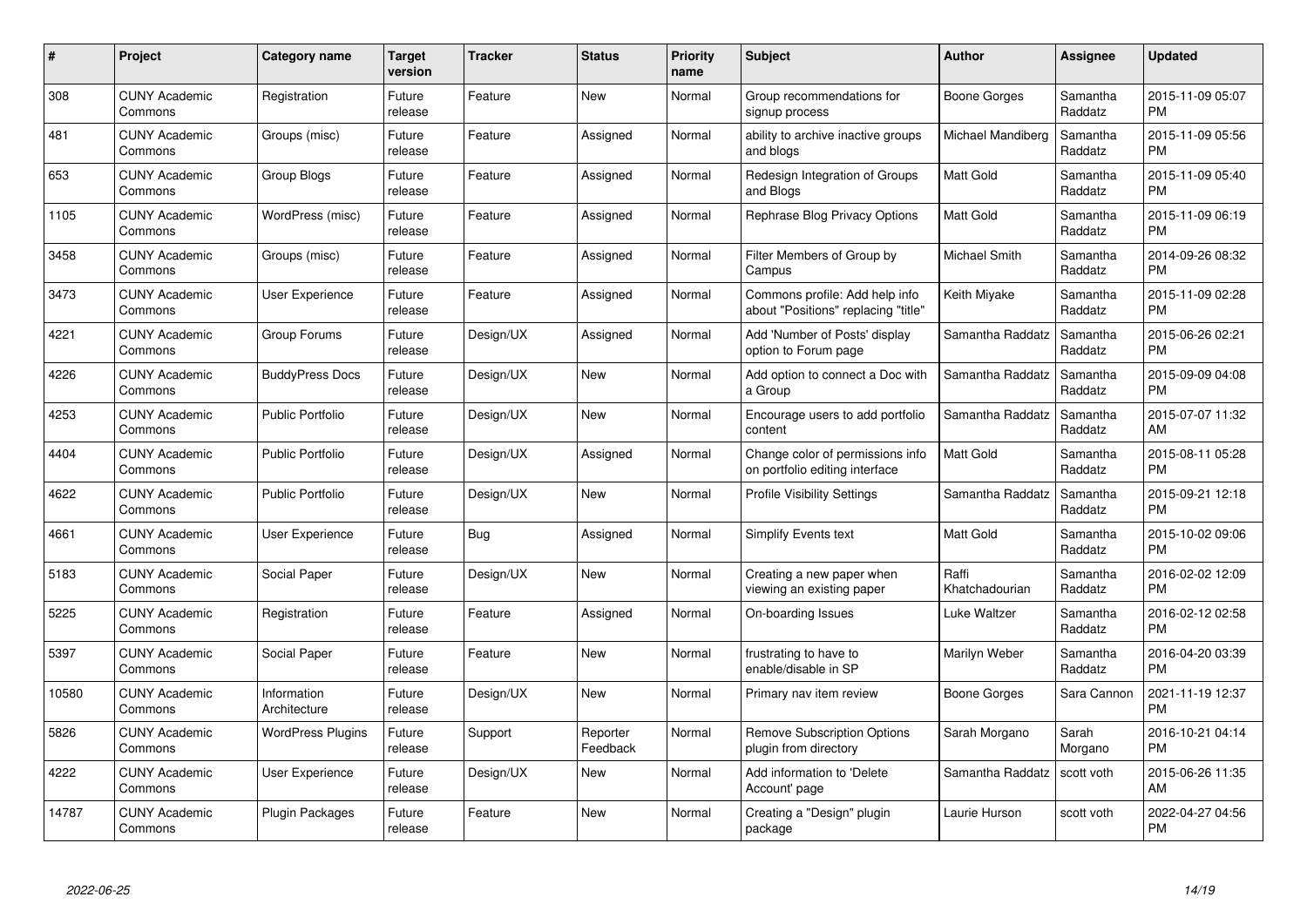| $\#$  | Project                         | <b>Category name</b>        | <b>Target</b><br>version | <b>Tracker</b> | <b>Status</b>        | <b>Priority</b><br>name | <b>Subject</b>                                                        | Author                  | <b>Assignee</b>     | <b>Updated</b>                |
|-------|---------------------------------|-----------------------------|--------------------------|----------------|----------------------|-------------------------|-----------------------------------------------------------------------|-------------------------|---------------------|-------------------------------|
| 308   | <b>CUNY Academic</b><br>Commons | Registration                | Future<br>release        | Feature        | <b>New</b>           | Normal                  | Group recommendations for<br>signup process                           | Boone Gorges            | Samantha<br>Raddatz | 2015-11-09 05:07<br><b>PM</b> |
| 481   | <b>CUNY Academic</b><br>Commons | Groups (misc)               | Future<br>release        | Feature        | Assigned             | Normal                  | ability to archive inactive groups<br>and blogs                       | Michael Mandiberg       | Samantha<br>Raddatz | 2015-11-09 05:56<br><b>PM</b> |
| 653   | <b>CUNY Academic</b><br>Commons | Group Blogs                 | Future<br>release        | Feature        | Assigned             | Normal                  | Redesign Integration of Groups<br>and Blogs                           | Matt Gold               | Samantha<br>Raddatz | 2015-11-09 05:40<br><b>PM</b> |
| 1105  | <b>CUNY Academic</b><br>Commons | WordPress (misc)            | Future<br>release        | Feature        | Assigned             | Normal                  | Rephrase Blog Privacy Options                                         | <b>Matt Gold</b>        | Samantha<br>Raddatz | 2015-11-09 06:19<br><b>PM</b> |
| 3458  | <b>CUNY Academic</b><br>Commons | Groups (misc)               | Future<br>release        | Feature        | Assigned             | Normal                  | Filter Members of Group by<br>Campus                                  | Michael Smith           | Samantha<br>Raddatz | 2014-09-26 08:32<br><b>PM</b> |
| 3473  | <b>CUNY Academic</b><br>Commons | <b>User Experience</b>      | Future<br>release        | Feature        | Assigned             | Normal                  | Commons profile: Add help info<br>about "Positions" replacing "title" | Keith Miyake            | Samantha<br>Raddatz | 2015-11-09 02:28<br><b>PM</b> |
| 4221  | <b>CUNY Academic</b><br>Commons | Group Forums                | Future<br>release        | Design/UX      | Assigned             | Normal                  | Add 'Number of Posts' display<br>option to Forum page                 | Samantha Raddatz        | Samantha<br>Raddatz | 2015-06-26 02:21<br><b>PM</b> |
| 4226  | <b>CUNY Academic</b><br>Commons | <b>BuddyPress Docs</b>      | Future<br>release        | Design/UX      | <b>New</b>           | Normal                  | Add option to connect a Doc with<br>a Group                           | Samantha Raddatz        | Samantha<br>Raddatz | 2015-09-09 04:08<br><b>PM</b> |
| 4253  | <b>CUNY Academic</b><br>Commons | <b>Public Portfolio</b>     | Future<br>release        | Design/UX      | <b>New</b>           | Normal                  | Encourage users to add portfolio<br>content                           | Samantha Raddatz        | Samantha<br>Raddatz | 2015-07-07 11:32<br>AM        |
| 4404  | <b>CUNY Academic</b><br>Commons | Public Portfolio            | Future<br>release        | Design/UX      | Assigned             | Normal                  | Change color of permissions info<br>on portfolio editing interface    | <b>Matt Gold</b>        | Samantha<br>Raddatz | 2015-08-11 05:28<br><b>PM</b> |
| 4622  | <b>CUNY Academic</b><br>Commons | <b>Public Portfolio</b>     | Future<br>release        | Design/UX      | New                  | Normal                  | <b>Profile Visibility Settings</b>                                    | Samantha Raddatz        | Samantha<br>Raddatz | 2015-09-21 12:18<br><b>PM</b> |
| 4661  | <b>CUNY Academic</b><br>Commons | User Experience             | Future<br>release        | <b>Bug</b>     | Assigned             | Normal                  | Simplify Events text                                                  | <b>Matt Gold</b>        | Samantha<br>Raddatz | 2015-10-02 09:06<br><b>PM</b> |
| 5183  | <b>CUNY Academic</b><br>Commons | Social Paper                | Future<br>release        | Design/UX      | New                  | Normal                  | Creating a new paper when<br>viewing an existing paper                | Raffi<br>Khatchadourian | Samantha<br>Raddatz | 2016-02-02 12:09<br><b>PM</b> |
| 5225  | <b>CUNY Academic</b><br>Commons | Registration                | Future<br>release        | Feature        | Assigned             | Normal                  | On-boarding Issues                                                    | Luke Waltzer            | Samantha<br>Raddatz | 2016-02-12 02:58<br><b>PM</b> |
| 5397  | <b>CUNY Academic</b><br>Commons | Social Paper                | Future<br>release        | Feature        | <b>New</b>           | Normal                  | frustrating to have to<br>enable/disable in SP                        | Marilyn Weber           | Samantha<br>Raddatz | 2016-04-20 03:39<br><b>PM</b> |
| 10580 | <b>CUNY Academic</b><br>Commons | Information<br>Architecture | Future<br>release        | Design/UX      | <b>New</b>           | Normal                  | Primary nav item review                                               | <b>Boone Gorges</b>     | Sara Cannon         | 2021-11-19 12:37<br><b>PM</b> |
| 5826  | <b>CUNY Academic</b><br>Commons | <b>WordPress Plugins</b>    | Future<br>release        | Support        | Reporter<br>Feedback | Normal                  | <b>Remove Subscription Options</b><br>plugin from directory           | Sarah Morgano           | Sarah<br>Morgano    | 2016-10-21 04:14<br><b>PM</b> |
| 4222  | <b>CUNY Academic</b><br>Commons | User Experience             | Future<br>release        | Design/UX      | New                  | Normal                  | Add information to 'Delete<br>Account' page                           | Samantha Raddatz        | scott voth          | 2015-06-26 11:35<br>AM        |
| 14787 | CUNY Academic<br>Commons        | Plugin Packages             | Future<br>release        | Feature        | <b>New</b>           | Normal                  | Creating a "Design" plugin<br>package                                 | Laurie Hurson           | scott voth          | 2022-04-27 04:56<br>PM        |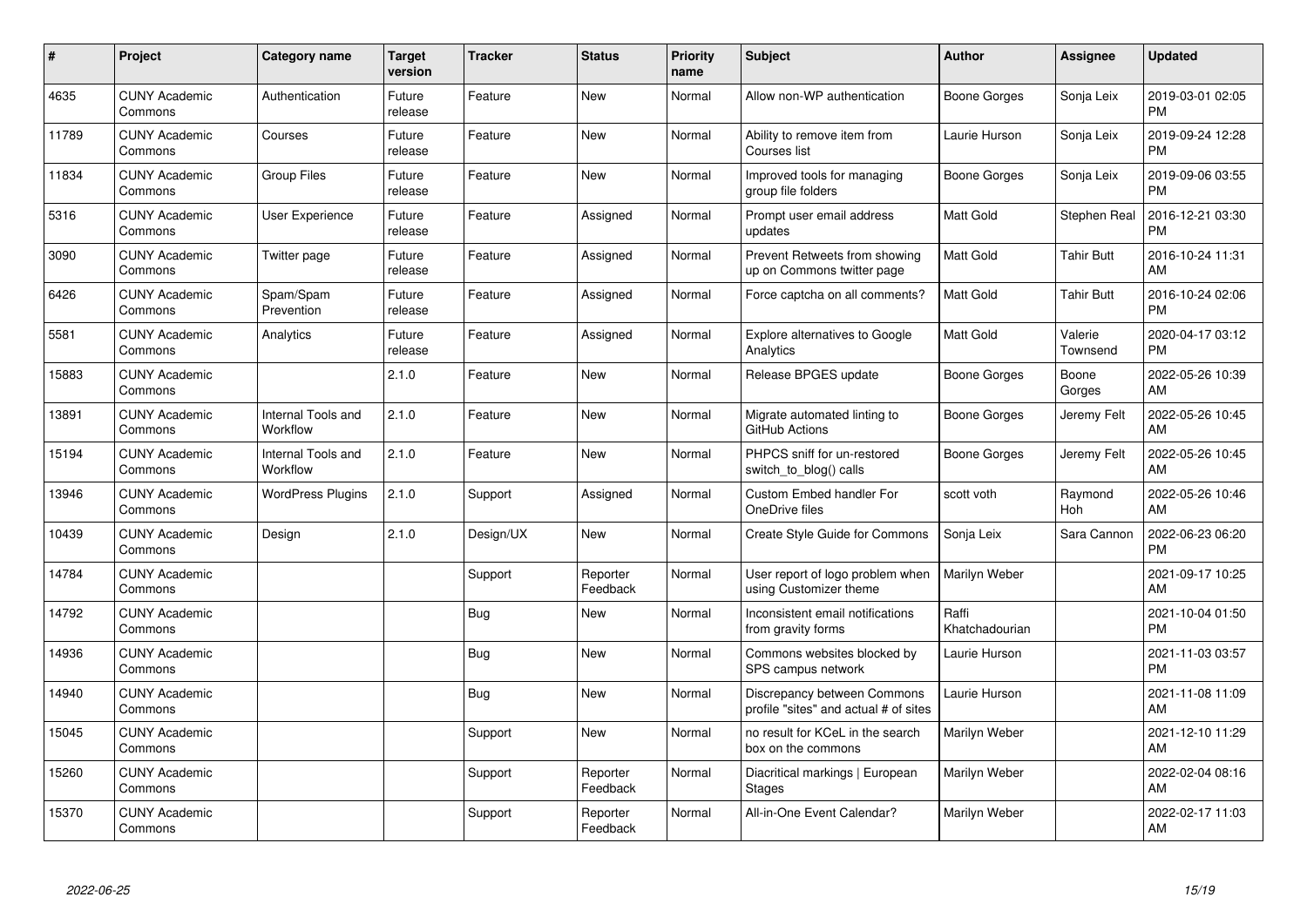| $\pmb{\#}$ | Project                         | <b>Category name</b>           | Target<br>version | <b>Tracker</b> | <b>Status</b>        | <b>Priority</b><br>name | <b>Subject</b>                                                       | <b>Author</b>           | <b>Assignee</b>     | <b>Updated</b>                |
|------------|---------------------------------|--------------------------------|-------------------|----------------|----------------------|-------------------------|----------------------------------------------------------------------|-------------------------|---------------------|-------------------------------|
| 4635       | <b>CUNY Academic</b><br>Commons | Authentication                 | Future<br>release | Feature        | <b>New</b>           | Normal                  | Allow non-WP authentication                                          | Boone Gorges            | Sonja Leix          | 2019-03-01 02:05<br><b>PM</b> |
| 11789      | <b>CUNY Academic</b><br>Commons | Courses                        | Future<br>release | Feature        | <b>New</b>           | Normal                  | Ability to remove item from<br>Courses list                          | Laurie Hurson           | Sonja Leix          | 2019-09-24 12:28<br><b>PM</b> |
| 11834      | <b>CUNY Academic</b><br>Commons | <b>Group Files</b>             | Future<br>release | Feature        | <b>New</b>           | Normal                  | Improved tools for managing<br>group file folders                    | Boone Gorges            | Sonja Leix          | 2019-09-06 03:55<br><b>PM</b> |
| 5316       | <b>CUNY Academic</b><br>Commons | <b>User Experience</b>         | Future<br>release | Feature        | Assigned             | Normal                  | Prompt user email address<br>updates                                 | Matt Gold               | <b>Stephen Real</b> | 2016-12-21 03:30<br><b>PM</b> |
| 3090       | <b>CUNY Academic</b><br>Commons | Twitter page                   | Future<br>release | Feature        | Assigned             | Normal                  | Prevent Retweets from showing<br>up on Commons twitter page          | Matt Gold               | <b>Tahir Butt</b>   | 2016-10-24 11:31<br>AM        |
| 6426       | <b>CUNY Academic</b><br>Commons | Spam/Spam<br>Prevention        | Future<br>release | Feature        | Assigned             | Normal                  | Force captcha on all comments?                                       | Matt Gold               | <b>Tahir Butt</b>   | 2016-10-24 02:06<br><b>PM</b> |
| 5581       | <b>CUNY Academic</b><br>Commons | Analytics                      | Future<br>release | Feature        | Assigned             | Normal                  | <b>Explore alternatives to Google</b><br>Analytics                   | Matt Gold               | Valerie<br>Townsend | 2020-04-17 03:12<br><b>PM</b> |
| 15883      | <b>CUNY Academic</b><br>Commons |                                | 2.1.0             | Feature        | <b>New</b>           | Normal                  | Release BPGES update                                                 | Boone Gorges            | Boone<br>Gorges     | 2022-05-26 10:39<br>AM        |
| 13891      | <b>CUNY Academic</b><br>Commons | Internal Tools and<br>Workflow | 2.1.0             | Feature        | <b>New</b>           | Normal                  | Migrate automated linting to<br>GitHub Actions                       | Boone Gorges            | Jeremy Felt         | 2022-05-26 10:45<br>AM        |
| 15194      | <b>CUNY Academic</b><br>Commons | Internal Tools and<br>Workflow | 2.1.0             | Feature        | <b>New</b>           | Normal                  | PHPCS sniff for un-restored<br>switch to blog() calls                | Boone Gorges            | Jeremy Felt         | 2022-05-26 10:45<br>AM        |
| 13946      | <b>CUNY Academic</b><br>Commons | <b>WordPress Plugins</b>       | 2.1.0             | Support        | Assigned             | Normal                  | <b>Custom Embed handler For</b><br>OneDrive files                    | scott voth              | Raymond<br>Hoh      | 2022-05-26 10:46<br>AM        |
| 10439      | <b>CUNY Academic</b><br>Commons | Design                         | 2.1.0             | Design/UX      | <b>New</b>           | Normal                  | Create Style Guide for Commons                                       | Sonja Leix              | Sara Cannon         | 2022-06-23 06:20<br><b>PM</b> |
| 14784      | <b>CUNY Academic</b><br>Commons |                                |                   | Support        | Reporter<br>Feedback | Normal                  | User report of logo problem when<br>using Customizer theme           | Marilyn Weber           |                     | 2021-09-17 10:25<br>AM        |
| 14792      | <b>CUNY Academic</b><br>Commons |                                |                   | Bug            | <b>New</b>           | Normal                  | Inconsistent email notifications<br>from gravity forms               | Raffi<br>Khatchadourian |                     | 2021-10-04 01:50<br><b>PM</b> |
| 14936      | <b>CUNY Academic</b><br>Commons |                                |                   | Bug            | New                  | Normal                  | Commons websites blocked by<br>SPS campus network                    | Laurie Hurson           |                     | 2021-11-03 03:57<br><b>PM</b> |
| 14940      | <b>CUNY Academic</b><br>Commons |                                |                   | Bug            | New                  | Normal                  | Discrepancy between Commons<br>profile "sites" and actual # of sites | Laurie Hurson           |                     | 2021-11-08 11:09<br>AM        |
| 15045      | <b>CUNY Academic</b><br>Commons |                                |                   | Support        | New                  | Normal                  | no result for KCeL in the search<br>box on the commons               | Marilyn Weber           |                     | 2021-12-10 11:29<br>AM        |
| 15260      | <b>CUNY Academic</b><br>Commons |                                |                   | Support        | Reporter<br>Feedback | Normal                  | Diacritical markings   European<br><b>Stages</b>                     | Marilyn Weber           |                     | 2022-02-04 08:16<br>AM        |
| 15370      | <b>CUNY Academic</b><br>Commons |                                |                   | Support        | Reporter<br>Feedback | Normal                  | All-in-One Event Calendar?                                           | Marilyn Weber           |                     | 2022-02-17 11:03<br>AM        |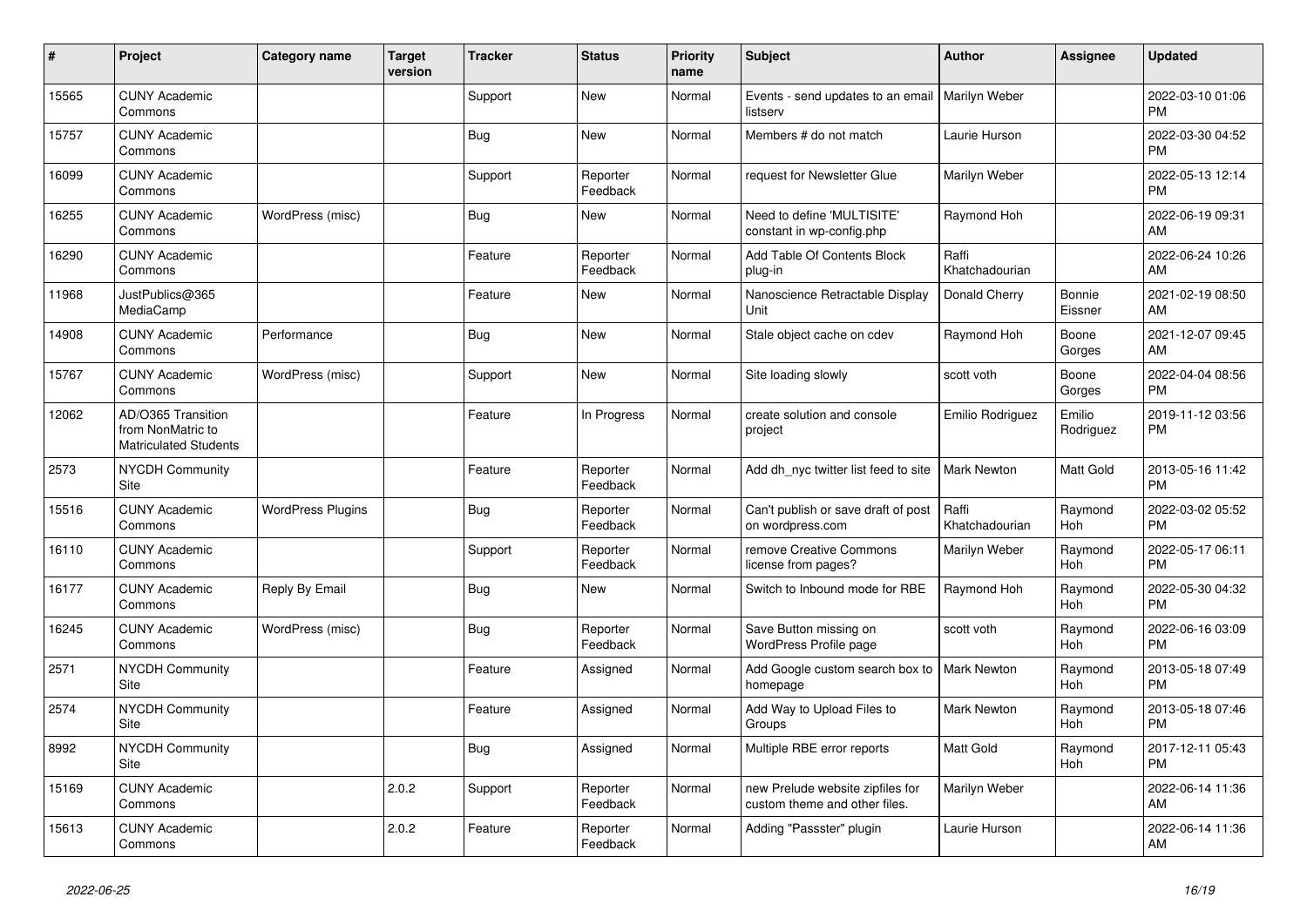| #     | Project                                                                 | <b>Category name</b>     | <b>Target</b><br>version | <b>Tracker</b> | <b>Status</b>        | <b>Priority</b><br>name | <b>Subject</b>                                                    | <b>Author</b>           | <b>Assignee</b>       | <b>Updated</b>                |
|-------|-------------------------------------------------------------------------|--------------------------|--------------------------|----------------|----------------------|-------------------------|-------------------------------------------------------------------|-------------------------|-----------------------|-------------------------------|
| 15565 | <b>CUNY Academic</b><br>Commons                                         |                          |                          | Support        | <b>New</b>           | Normal                  | Events - send updates to an email   Marilyn Weber<br>listserv     |                         |                       | 2022-03-10 01:06<br><b>PM</b> |
| 15757 | <b>CUNY Academic</b><br>Commons                                         |                          |                          | <b>Bug</b>     | New                  | Normal                  | Members # do not match                                            | Laurie Hurson           |                       | 2022-03-30 04:52<br><b>PM</b> |
| 16099 | <b>CUNY Academic</b><br>Commons                                         |                          |                          | Support        | Reporter<br>Feedback | Normal                  | request for Newsletter Glue                                       | Marilyn Weber           |                       | 2022-05-13 12:14<br><b>PM</b> |
| 16255 | <b>CUNY Academic</b><br>Commons                                         | WordPress (misc)         |                          | Bug            | New                  | Normal                  | Need to define 'MULTISITE'<br>constant in wp-config.php           | Raymond Hoh             |                       | 2022-06-19 09:31<br>AM        |
| 16290 | <b>CUNY Academic</b><br>Commons                                         |                          |                          | Feature        | Reporter<br>Feedback | Normal                  | Add Table Of Contents Block<br>plug-in                            | Raffi<br>Khatchadourian |                       | 2022-06-24 10:26<br>AM        |
| 11968 | JustPublics@365<br>MediaCamp                                            |                          |                          | Feature        | <b>New</b>           | Normal                  | Nanoscience Retractable Display<br>Unit                           | Donald Cherry           | Bonnie<br>Eissner     | 2021-02-19 08:50<br>AM        |
| 14908 | <b>CUNY Academic</b><br>Commons                                         | Performance              |                          | <b>Bug</b>     | New                  | Normal                  | Stale object cache on cdev                                        | Raymond Hoh             | Boone<br>Gorges       | 2021-12-07 09:45<br>AM        |
| 15767 | <b>CUNY Academic</b><br>Commons                                         | WordPress (misc)         |                          | Support        | <b>New</b>           | Normal                  | Site loading slowly                                               | scott voth              | Boone<br>Gorges       | 2022-04-04 08:56<br><b>PM</b> |
| 12062 | AD/O365 Transition<br>from NonMatric to<br><b>Matriculated Students</b> |                          |                          | Feature        | In Progress          | Normal                  | create solution and console<br>project                            | Emilio Rodriguez        | Emilio<br>Rodriguez   | 2019-11-12 03:56<br><b>PM</b> |
| 2573  | <b>NYCDH Community</b><br>Site                                          |                          |                          | Feature        | Reporter<br>Feedback | Normal                  | Add dh nyc twitter list feed to site                              | <b>Mark Newton</b>      | Matt Gold             | 2013-05-16 11:42<br><b>PM</b> |
| 15516 | <b>CUNY Academic</b><br>Commons                                         | <b>WordPress Plugins</b> |                          | Bug            | Reporter<br>Feedback | Normal                  | Can't publish or save draft of post<br>on wordpress.com           | Raffi<br>Khatchadourian | Raymond<br>Hoh        | 2022-03-02 05:52<br><b>PM</b> |
| 16110 | <b>CUNY Academic</b><br>Commons                                         |                          |                          | Support        | Reporter<br>Feedback | Normal                  | remove Creative Commons<br>license from pages?                    | Marilyn Weber           | Raymond<br>Hoh        | 2022-05-17 06:11<br><b>PM</b> |
| 16177 | <b>CUNY Academic</b><br>Commons                                         | Reply By Email           |                          | Bug            | <b>New</b>           | Normal                  | Switch to Inbound mode for RBE                                    | Raymond Hoh             | Raymond<br>Hoh        | 2022-05-30 04:32<br><b>PM</b> |
| 16245 | <b>CUNY Academic</b><br>Commons                                         | WordPress (misc)         |                          | <b>Bug</b>     | Reporter<br>Feedback | Normal                  | Save Button missing on<br>WordPress Profile page                  | scott voth              | Raymond<br><b>Hoh</b> | 2022-06-16 03:09<br><b>PM</b> |
| 2571  | <b>NYCDH Community</b><br>Site                                          |                          |                          | Feature        | Assigned             | Normal                  | Add Google custom search box to<br>homepage                       | <b>Mark Newton</b>      | Raymond<br><b>Hoh</b> | 2013-05-18 07:49<br><b>PM</b> |
| 2574  | <b>NYCDH Community</b><br>Site                                          |                          |                          | Feature        | Assigned             | Normal                  | Add Way to Upload Files to<br>Groups                              | Mark Newton             | Raymond<br>Hoh        | 2013-05-18 07:46<br><b>PM</b> |
| 8992  | <b>NYCDH Community</b><br>Site                                          |                          |                          | Bug            | Assigned             | Normal                  | Multiple RBE error reports                                        | <b>Matt Gold</b>        | Raymond<br><b>Hoh</b> | 2017-12-11 05:43<br><b>PM</b> |
| 15169 | <b>CUNY Academic</b><br>Commons                                         |                          | 2.0.2                    | Support        | Reporter<br>Feedback | Normal                  | new Prelude website zipfiles for<br>custom theme and other files. | Marilyn Weber           |                       | 2022-06-14 11:36<br>AM        |
| 15613 | <b>CUNY Academic</b><br>Commons                                         |                          | 2.0.2                    | Feature        | Reporter<br>Feedback | Normal                  | Adding "Passster" plugin                                          | Laurie Hurson           |                       | 2022-06-14 11:36<br>AM        |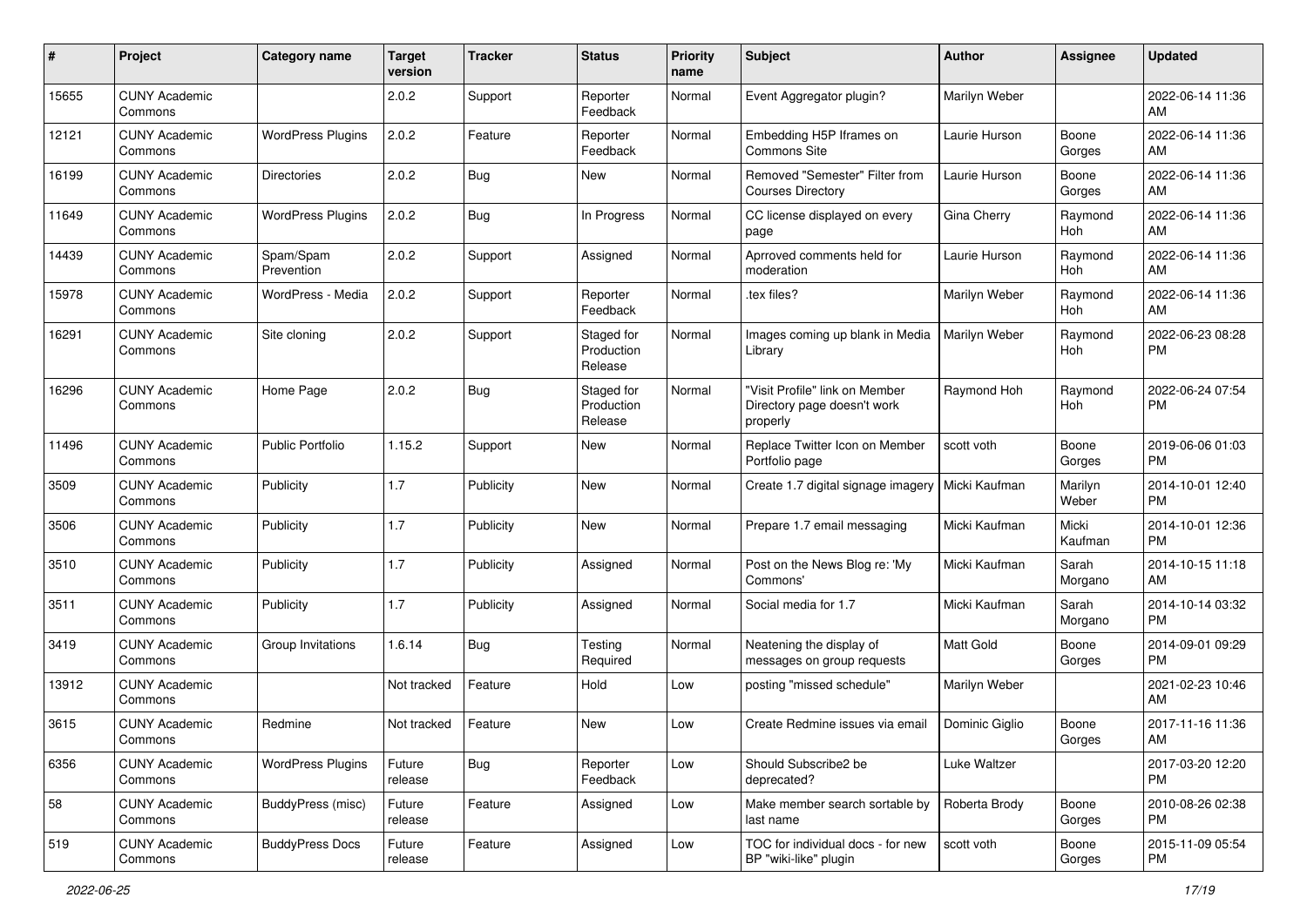| #     | Project                         | <b>Category name</b>     | <b>Target</b><br>version | <b>Tracker</b> | <b>Status</b>                       | <b>Priority</b><br>name | <b>Subject</b>                                                            | <b>Author</b>    | Assignee         | <b>Updated</b>                |
|-------|---------------------------------|--------------------------|--------------------------|----------------|-------------------------------------|-------------------------|---------------------------------------------------------------------------|------------------|------------------|-------------------------------|
| 15655 | <b>CUNY Academic</b><br>Commons |                          | 2.0.2                    | Support        | Reporter<br>Feedback                | Normal                  | Event Aggregator plugin?                                                  | Marilyn Weber    |                  | 2022-06-14 11:36<br>AM        |
| 12121 | <b>CUNY Academic</b><br>Commons | <b>WordPress Plugins</b> | 2.0.2                    | Feature        | Reporter<br>Feedback                | Normal                  | Embedding H5P Iframes on<br>Commons Site                                  | Laurie Hurson    | Boone<br>Gorges  | 2022-06-14 11:36<br>AM        |
| 16199 | <b>CUNY Academic</b><br>Commons | <b>Directories</b>       | 2.0.2                    | Bug            | New                                 | Normal                  | Removed "Semester" Filter from<br><b>Courses Directory</b>                | Laurie Hurson    | Boone<br>Gorges  | 2022-06-14 11:36<br>AM        |
| 11649 | <b>CUNY Academic</b><br>Commons | <b>WordPress Plugins</b> | 2.0.2                    | Bug            | In Progress                         | Normal                  | CC license displayed on every<br>page                                     | Gina Cherry      | Raymond<br>Hoh   | 2022-06-14 11:36<br>AM        |
| 14439 | <b>CUNY Academic</b><br>Commons | Spam/Spam<br>Prevention  | 2.0.2                    | Support        | Assigned                            | Normal                  | Aprroved comments held for<br>moderation                                  | Laurie Hurson    | Raymond<br>Hoh   | 2022-06-14 11:36<br>AM        |
| 15978 | <b>CUNY Academic</b><br>Commons | WordPress - Media        | 2.0.2                    | Support        | Reporter<br>Feedback                | Normal                  | tex files?                                                                | Marilyn Weber    | Raymond<br>Hoh   | 2022-06-14 11:36<br>AM        |
| 16291 | <b>CUNY Academic</b><br>Commons | Site cloning             | 2.0.2                    | Support        | Staged for<br>Production<br>Release | Normal                  | Images coming up blank in Media<br>Library                                | Marilyn Weber    | Raymond<br>Hoh   | 2022-06-23 08:28<br><b>PM</b> |
| 16296 | <b>CUNY Academic</b><br>Commons | Home Page                | 2.0.2                    | Bug            | Staged for<br>Production<br>Release | Normal                  | "Visit Profile" link on Member<br>Directory page doesn't work<br>properly | Raymond Hoh      | Raymond<br>Hoh   | 2022-06-24 07:54<br><b>PM</b> |
| 11496 | <b>CUNY Academic</b><br>Commons | <b>Public Portfolio</b>  | 1.15.2                   | Support        | New                                 | Normal                  | Replace Twitter Icon on Member<br>Portfolio page                          | scott voth       | Boone<br>Gorges  | 2019-06-06 01:03<br><b>PM</b> |
| 3509  | <b>CUNY Academic</b><br>Commons | Publicity                | 1.7                      | Publicity      | New                                 | Normal                  | Create 1.7 digital signage imagery                                        | Micki Kaufman    | Marilyn<br>Weber | 2014-10-01 12:40<br><b>PM</b> |
| 3506  | <b>CUNY Academic</b><br>Commons | Publicity                | 1.7                      | Publicity      | New                                 | Normal                  | Prepare 1.7 email messaging                                               | Micki Kaufman    | Micki<br>Kaufman | 2014-10-01 12:36<br><b>PM</b> |
| 3510  | <b>CUNY Academic</b><br>Commons | Publicity                | 1.7                      | Publicity      | Assigned                            | Normal                  | Post on the News Blog re: 'My<br>Commons'                                 | Micki Kaufman    | Sarah<br>Morgano | 2014-10-15 11:18<br>AM        |
| 3511  | <b>CUNY Academic</b><br>Commons | Publicity                | 1.7                      | Publicity      | Assigned                            | Normal                  | Social media for 1.7                                                      | Micki Kaufman    | Sarah<br>Morgano | 2014-10-14 03:32<br><b>PM</b> |
| 3419  | <b>CUNY Academic</b><br>Commons | Group Invitations        | 1.6.14                   | Bug            | Testing<br>Required                 | Normal                  | Neatening the display of<br>messages on group requests                    | <b>Matt Gold</b> | Boone<br>Gorges  | 2014-09-01 09:29<br><b>PM</b> |
| 13912 | <b>CUNY Academic</b><br>Commons |                          | Not tracked              | Feature        | Hold                                | Low                     | posting "missed schedule"                                                 | Marilyn Weber    |                  | 2021-02-23 10:46<br>AM        |
| 3615  | <b>CUNY Academic</b><br>Commons | Redmine                  | Not tracked              | Feature        | <b>New</b>                          | Low                     | Create Redmine issues via email                                           | Dominic Giglio   | Boone<br>Gorges  | 2017-11-16 11:36<br>AM        |
| 6356  | <b>CUNY Academic</b><br>Commons | <b>WordPress Plugins</b> | Future<br>release        | Bug            | Reporter<br>Feedback                | Low                     | Should Subscribe2 be<br>deprecated?                                       | Luke Waltzer     |                  | 2017-03-20 12:20<br><b>PM</b> |
| 58    | <b>CUNY Academic</b><br>Commons | BuddyPress (misc)        | Future<br>release        | Feature        | Assigned                            | Low                     | Make member search sortable by<br>last name                               | Roberta Brody    | Boone<br>Gorges  | 2010-08-26 02:38<br><b>PM</b> |
| 519   | <b>CUNY Academic</b><br>Commons | <b>BuddyPress Docs</b>   | Future<br>release        | Feature        | Assigned                            | Low                     | TOC for individual docs - for new<br>BP "wiki-like" plugin                | scott voth       | Boone<br>Gorges  | 2015-11-09 05:54<br>PM        |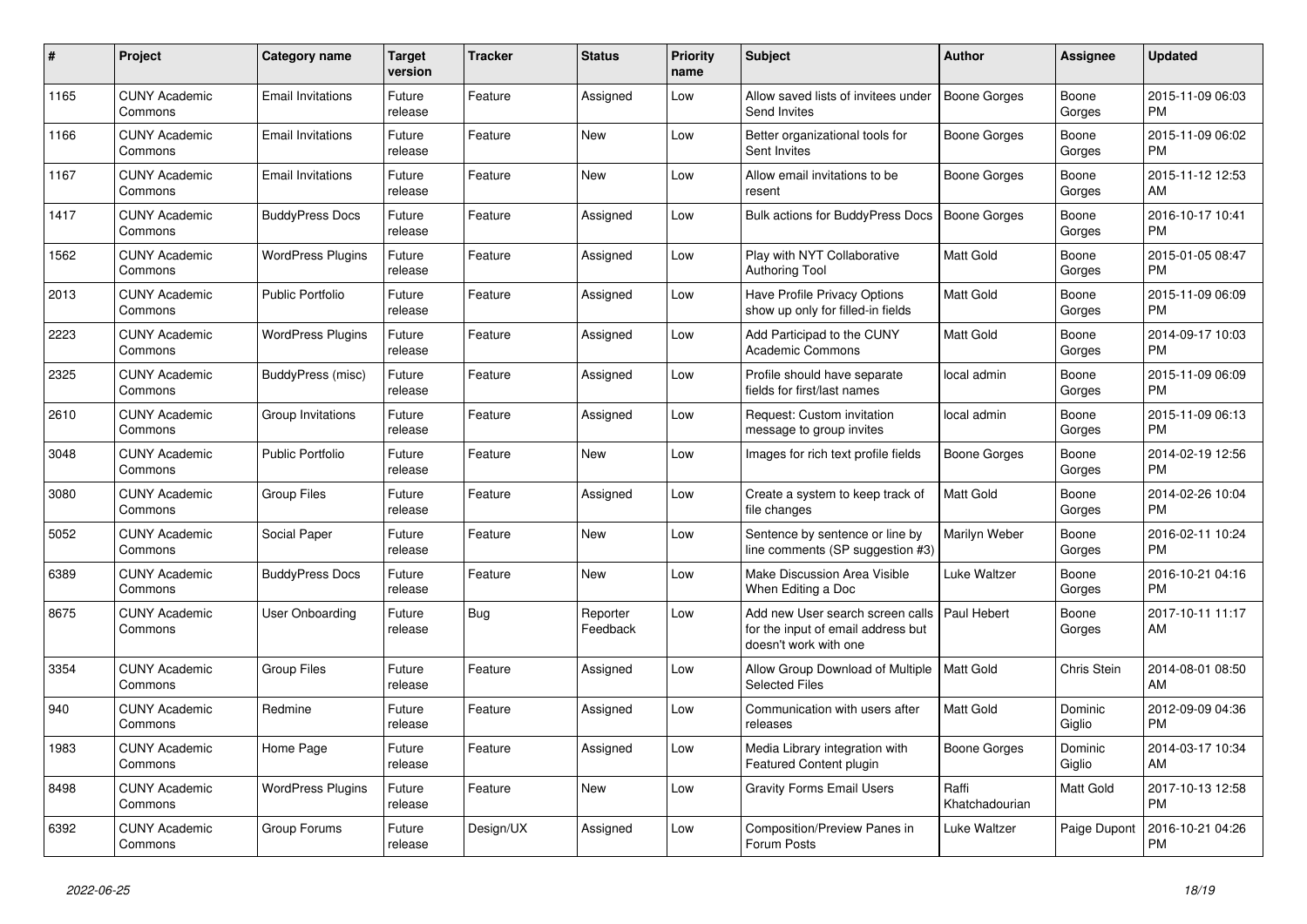| #    | Project                         | Category name            | Target<br>version | <b>Tracker</b> | <b>Status</b>        | <b>Priority</b><br>name | <b>Subject</b>                                                                                  | <b>Author</b>           | Assignee          | <b>Updated</b>                |
|------|---------------------------------|--------------------------|-------------------|----------------|----------------------|-------------------------|-------------------------------------------------------------------------------------------------|-------------------------|-------------------|-------------------------------|
| 1165 | <b>CUNY Academic</b><br>Commons | <b>Email Invitations</b> | Future<br>release | Feature        | Assigned             | Low                     | Allow saved lists of invitees under<br>Send Invites                                             | Boone Gorges            | Boone<br>Gorges   | 2015-11-09 06:03<br><b>PM</b> |
| 1166 | <b>CUNY Academic</b><br>Commons | <b>Email Invitations</b> | Future<br>release | Feature        | <b>New</b>           | Low                     | Better organizational tools for<br>Sent Invites                                                 | Boone Gorges            | Boone<br>Gorges   | 2015-11-09 06:02<br><b>PM</b> |
| 1167 | <b>CUNY Academic</b><br>Commons | <b>Email Invitations</b> | Future<br>release | Feature        | <b>New</b>           | Low                     | Allow email invitations to be<br>resent                                                         | Boone Gorges            | Boone<br>Gorges   | 2015-11-12 12:53<br>AM        |
| 1417 | <b>CUNY Academic</b><br>Commons | <b>BuddyPress Docs</b>   | Future<br>release | Feature        | Assigned             | Low                     | <b>Bulk actions for BuddyPress Docs</b>                                                         | Boone Gorges            | Boone<br>Gorges   | 2016-10-17 10:41<br><b>PM</b> |
| 1562 | <b>CUNY Academic</b><br>Commons | <b>WordPress Plugins</b> | Future<br>release | Feature        | Assigned             | Low                     | Play with NYT Collaborative<br><b>Authoring Tool</b>                                            | Matt Gold               | Boone<br>Gorges   | 2015-01-05 08:47<br><b>PM</b> |
| 2013 | <b>CUNY Academic</b><br>Commons | <b>Public Portfolio</b>  | Future<br>release | Feature        | Assigned             | Low                     | Have Profile Privacy Options<br>show up only for filled-in fields                               | Matt Gold               | Boone<br>Gorges   | 2015-11-09 06:09<br><b>PM</b> |
| 2223 | <b>CUNY Academic</b><br>Commons | <b>WordPress Plugins</b> | Future<br>release | Feature        | Assigned             | Low                     | Add Participad to the CUNY<br><b>Academic Commons</b>                                           | Matt Gold               | Boone<br>Gorges   | 2014-09-17 10:03<br><b>PM</b> |
| 2325 | <b>CUNY Academic</b><br>Commons | BuddyPress (misc)        | Future<br>release | Feature        | Assigned             | Low                     | Profile should have separate<br>fields for first/last names                                     | local admin             | Boone<br>Gorges   | 2015-11-09 06:09<br>PM        |
| 2610 | <b>CUNY Academic</b><br>Commons | Group Invitations        | Future<br>release | Feature        | Assigned             | Low                     | Request: Custom invitation<br>message to group invites                                          | local admin             | Boone<br>Gorges   | 2015-11-09 06:13<br><b>PM</b> |
| 3048 | <b>CUNY Academic</b><br>Commons | Public Portfolio         | Future<br>release | Feature        | <b>New</b>           | Low                     | Images for rich text profile fields                                                             | Boone Gorges            | Boone<br>Gorges   | 2014-02-19 12:56<br><b>PM</b> |
| 3080 | <b>CUNY Academic</b><br>Commons | Group Files              | Future<br>release | Feature        | Assigned             | Low                     | Create a system to keep track of<br>file changes                                                | <b>Matt Gold</b>        | Boone<br>Gorges   | 2014-02-26 10:04<br><b>PM</b> |
| 5052 | <b>CUNY Academic</b><br>Commons | Social Paper             | Future<br>release | Feature        | <b>New</b>           | Low                     | Sentence by sentence or line by<br>line comments (SP suggestion #3)                             | Marilyn Weber           | Boone<br>Gorges   | 2016-02-11 10:24<br><b>PM</b> |
| 6389 | <b>CUNY Academic</b><br>Commons | <b>BuddyPress Docs</b>   | Future<br>release | Feature        | <b>New</b>           | Low                     | Make Discussion Area Visible<br>When Editing a Doc                                              | Luke Waltzer            | Boone<br>Gorges   | 2016-10-21 04:16<br><b>PM</b> |
| 8675 | <b>CUNY Academic</b><br>Commons | <b>User Onboarding</b>   | Future<br>release | Bug            | Reporter<br>Feedback | Low                     | Add new User search screen calls<br>for the input of email address but<br>doesn't work with one | Paul Hebert             | Boone<br>Gorges   | 2017-10-11 11:17<br>AM        |
| 3354 | <b>CUNY Academic</b><br>Commons | Group Files              | Future<br>release | Feature        | Assigned             | Low                     | Allow Group Download of Multiple<br><b>Selected Files</b>                                       | Matt Gold               | Chris Stein       | 2014-08-01 08:50<br>AM        |
| 940  | <b>CUNY Academic</b><br>Commons | Redmine                  | Future<br>release | Feature        | Assigned             | Low                     | Communication with users after<br>releases                                                      | <b>Matt Gold</b>        | Dominic<br>Giglio | 2012-09-09 04:36<br><b>PM</b> |
| 1983 | <b>CUNY Academic</b><br>Commons | Home Page                | Future<br>release | Feature        | Assigned             | Low                     | Media Library integration with<br><b>Featured Content plugin</b>                                | Boone Gorges            | Dominic<br>Giglio | 2014-03-17 10:34<br>AM        |
| 8498 | <b>CUNY Academic</b><br>Commons | <b>WordPress Plugins</b> | Future<br>release | Feature        | <b>New</b>           | Low                     | <b>Gravity Forms Email Users</b>                                                                | Raffi<br>Khatchadourian | Matt Gold         | 2017-10-13 12:58<br><b>PM</b> |
| 6392 | <b>CUNY Academic</b><br>Commons | Group Forums             | Future<br>release | Design/UX      | Assigned             | Low                     | Composition/Preview Panes in<br>Forum Posts                                                     | Luke Waltzer            | Paige Dupont      | 2016-10-21 04:26<br><b>PM</b> |